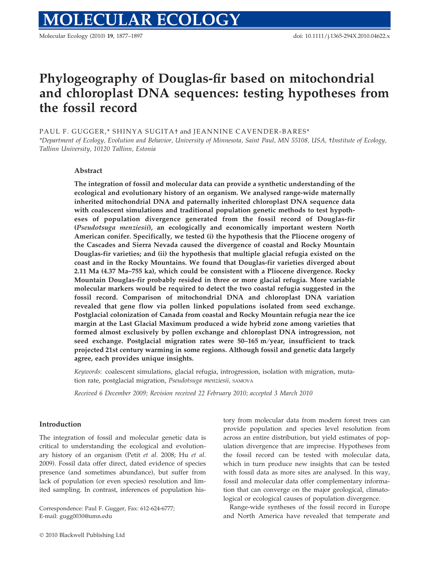# Phylogeography of Douglas-fir based on mitochondrial and chloroplast DNA sequences: testing hypotheses from the fossil record

PAUL F. GUGGER,\* SHINYA SUGITA† and JEANNINE CAVENDER-BARES\* \*Department of Ecology, Evolution and Behavior, University of Minnesota, Saint Paul, MN 55108, USA, †Institute of Ecology,

Tallinn University, 10120 Tallinn, Estonia

## Abstract

The integration of fossil and molecular data can provide a synthetic understanding of the ecological and evolutionary history of an organism. We analysed range-wide maternally inherited mitochondrial DNA and paternally inherited chloroplast DNA sequence data with coalescent simulations and traditional population genetic methods to test hypotheses of population divergence generated from the fossil record of Douglas-fir (Pseudotsuga menziesii), an ecologically and economically important western North American conifer. Specifically, we tested (i) the hypothesis that the Pliocene orogeny of the Cascades and Sierra Nevada caused the divergence of coastal and Rocky Mountain Douglas-fir varieties; and (ii) the hypothesis that multiple glacial refugia existed on the coast and in the Rocky Mountains. We found that Douglas-fir varieties diverged about 2.11 Ma (4.37 Ma–755 ka), which could be consistent with a Pliocene divergence. Rocky Mountain Douglas-fir probably resided in three or more glacial refugia. More variable molecular markers would be required to detect the two coastal refugia suggested in the fossil record. Comparison of mitochondrial DNA and chloroplast DNA variation revealed that gene flow via pollen linked populations isolated from seed exchange. Postglacial colonization of Canada from coastal and Rocky Mountain refugia near the ice margin at the Last Glacial Maximum produced a wide hybrid zone among varieties that formed almost exclusively by pollen exchange and chloroplast DNA introgression, not seed exchange. Postglacial migration rates were  $50-165$  m/year, insufficient to track projected 21st century warming in some regions. Although fossil and genetic data largely agree, each provides unique insights.

Keywords: coalescent simulations, glacial refugia, introgression, isolation with migration, mutation rate, postglacial migration, Pseudotsuga menziesii, SAMOVA

Received 6 December 2009; Revision received 22 February 2010; accepted 3 March 2010

#### Introduction

The integration of fossil and molecular genetic data is critical to understanding the ecological and evolutionary history of an organism (Petit et al. 2008; Hu et al. 2009). Fossil data offer direct, dated evidence of species presence (and sometimes abundance), but suffer from lack of population (or even species) resolution and limited sampling. In contrast, inferences of population his-

Correspondence: Paul F. Gugger, Fax: 612-624-6777; E-mail: gugg0030@umn.edu

tory from molecular data from modern forest trees can provide population and species level resolution from across an entire distribution, but yield estimates of population divergence that are imprecise. Hypotheses from the fossil record can be tested with molecular data, which in turn produce new insights that can be tested with fossil data as more sites are analysed. In this way, fossil and molecular data offer complementary information that can converge on the major geological, climatological or ecological causes of population divergence.

Range-wide syntheses of the fossil record in Europe and North America have revealed that temperate and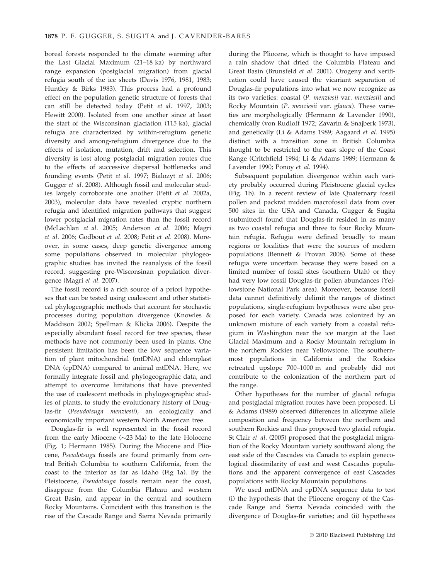boreal forests responded to the climate warming after the Last Glacial Maximum (21–18 ka) by northward range expansion (postglacial migration) from glacial refugia south of the ice sheets (Davis 1976, 1981, 1983; Huntley & Birks 1983). This process had a profound effect on the population genetic structure of forests that can still be detected today (Petit et al. 1997, 2003; Hewitt 2000). Isolated from one another since at least the start of the Wisconsinan glaciation (115 ka), glacial refugia are characterized by within-refugium genetic diversity and among-refugium divergence due to the effects of isolation, mutation, drift and selection. This diversity is lost along postglacial migration routes due to the effects of successive dispersal bottlenecks and founding events (Petit et al. 1997; Bialozyt et al. 2006; Gugger et al. 2008). Although fossil and molecular studies largely corroborate one another (Petit et al. 2002a, 2003), molecular data have revealed cryptic northern refugia and identified migration pathways that suggest lower postglacial migration rates than the fossil record (McLachlan et al. 2005; Anderson et al. 2006; Magri et al. 2006; Godbout et al. 2008; Petit et al. 2008). Moreover, in some cases, deep genetic divergence among some populations observed in molecular phylogeographic studies has invited the reanalysis of the fossil record, suggesting pre-Wisconsinan population divergence (Magri et al. 2007).

The fossil record is a rich source of a priori hypotheses that can be tested using coalescent and other statistical phylogeographic methods that account for stochastic processes during population divergence (Knowles & Maddison 2002; Spellman & Klicka 2006). Despite the especially abundant fossil record for tree species, these methods have not commonly been used in plants. One persistent limitation has been the low sequence variation of plant mitochondrial (mtDNA) and chloroplast DNA (cpDNA) compared to animal mtDNA. Here, we formally integrate fossil and phylogeographic data, and attempt to overcome limitations that have prevented the use of coalescent methods in phylogeographic studies of plants, to study the evolutionary history of Douglas-fir (Pseudotsuga menziesii), an ecologically and economically important western North American tree.

Douglas-fir is well represented in the fossil record from the early Miocene ( $\sim$ 23 Ma) to the late Holocene (Fig. 1; Hermann 1985). During the Miocene and Pliocene, Pseudotsuga fossils are found primarily from central British Columbia to southern California, from the coast to the interior as far as Idaho (Fig 1a). By the Pleistocene, Pseudotsuga fossils remain near the coast, disappear from the Columbia Plateau and western Great Basin, and appear in the central and southern Rocky Mountains. Coincident with this transition is the rise of the Cascade Range and Sierra Nevada primarily

during the Pliocene, which is thought to have imposed a rain shadow that dried the Columbia Plateau and Great Basin (Brunsfeld et al. 2001). Orogeny and xerification could have caused the vicariant separation of Douglas-fir populations into what we now recognize as its two varieties: coastal (P. menziesii var. menziesii) and Rocky Mountain (P. menziesii var. glauca). These varieties are morphologically (Hermann & Lavender 1990), chemically (von Rudloff 1972; Zavarin & Snajberk 1973), and genetically (Li & Adams 1989; Aagaard et al. 1995) distinct with a transition zone in British Columbia thought to be restricted to the east slope of the Coast Range (Critchfield 1984; Li & Adams 1989; Hermann & Lavender 1990; Ponoy et al. 1994).

Subsequent population divergence within each variety probably occurred during Pleistocene glacial cycles (Fig. 1b). In a recent review of late Quaternary fossil pollen and packrat midden macrofossil data from over 500 sites in the USA and Canada, Gugger & Sugita (submitted) found that Douglas-fir resided in as many as two coastal refugia and three to four Rocky Mountain refugia. Refugia were defined broadly to mean regions or localities that were the sources of modern populations (Bennett & Provan 2008). Some of these refugia were uncertain because they were based on a limited number of fossil sites (southern Utah) or they had very low fossil Douglas-fir pollen abundances (Yellowstone National Park area). Moreover, because fossil data cannot definitively delimit the ranges of distinct populations, single-refugium hypotheses were also proposed for each variety. Canada was colonized by an unknown mixture of each variety from a coastal refugium in Washington near the ice margin at the Last Glacial Maximum and a Rocky Mountain refugium in the northern Rockies near Yellowstone. The southernmost populations in California and the Rockies retreated upslope 700–1000 m and probably did not contribute to the colonization of the northern part of the range.

Other hypotheses for the number of glacial refugia and postglacial migration routes have been proposed. Li & Adams (1989) observed differences in allozyme allele composition and frequency between the northern and southern Rockies and thus proposed two glacial refugia. St Clair et al. (2005) proposed that the postglacial migration of the Rocky Mountain variety southward along the east side of the Cascades via Canada to explain genecological dissimilarity of east and west Cascades populations and the apparent convergence of east Cascades populations with Rocky Mountain populations.

We used mtDNA and cpDNA sequence data to test (i) the hypothesis that the Pliocene orogeny of the Cascade Range and Sierra Nevada coincided with the divergence of Douglas-fir varieties; and (ii) hypotheses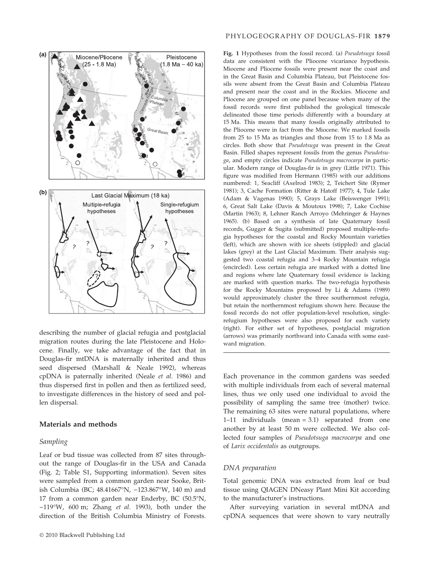

describing the number of glacial refugia and postglacial migration routes during the late Pleistocene and Holocene. Finally, we take advantage of the fact that in Douglas-fir mtDNA is maternally inherited and thus seed dispersed (Marshall & Neale 1992), whereas cpDNA is paternally inherited (Neale et al. 1986) and thus dispersed first in pollen and then as fertilized seed, to investigate differences in the history of seed and pollen dispersal.

## Materials and methods

#### Sampling

Leaf or bud tissue was collected from 87 sites throughout the range of Douglas-fir in the USA and Canada (Fig. 2; Table S1, Supporting information). Seven sites were sampled from a common garden near Sooke, British Columbia (BC; 48.41667°N, -123.867°W, 140 m) and 17 from a common garden near Enderby, BC  $(50.5^{\circ}N,$  $-119^{\circ}$ W, 600 m; Zhang *et al.* 1993), both under the direction of the British Columbia Ministry of Forests.

## PHYLOGEOGRAPHY OF DOUGLAS-FIR 1879

Fig. 1 Hypotheses from the fossil record. (a) Pseudotsuga fossil data are consistent with the Pliocene vicariance hypothesis. Miocene and Pliocene fossils were present near the coast and in the Great Basin and Columbia Plateau, but Pleistocene fossils were absent from the Great Basin and Columbia Plateau and present near the coast and in the Rockies. Miocene and Pliocene are grouped on one panel because when many of the fossil records were first published the geological timescale delineated those time periods differently with a boundary at 15 Ma. This means that many fossils originally attributed to the Pliocene were in fact from the Miocene. We marked fossils from 25 to 15 Ma as triangles and those from 15 to 1.8 Ma as circles. Both show that Pseudotsuga was present in the Great Basin. Filled shapes represent fossils from the genus Pseudotsuga, and empty circles indicate Pseudotsuga macrocarpa in particular. Modern range of Douglas-fir is in grey (Little 1971). This figure was modified from Hermann (1985) with our additions numbered: 1, Seacliff (Axelrod 1983); 2, Teichert Site (Rymer 1981); 3, Cache Formation (Ritter & Hatoff 1977); 4, Tule Lake (Adam & Vagenas 1990); 5, Grays Lake (Beiswenger 1991); 6, Great Salt Lake (Davis & Moutoux 1998); 7, Lake Cochise (Martin 1963); 8, Lehner Ranch Arroyo (Mehringer & Haynes 1965). (b) Based on a synthesis of late Quaternary fossil records, Gugger & Sugita (submitted) proposed multiple-refugia hypotheses for the coastal and Rocky Mountain varieties (left), which are shown with ice sheets (stippled) and glacial lakes (grey) at the Last Glacial Maximum. Their analysis suggested two coastal refugia and 3–4 Rocky Mountain refugia (encircled). Less certain refugia are marked with a dotted line and regions where late Quaternary fossil evidence is lacking are marked with question marks. The two-refugia hypothesis for the Rocky Mountains proposed by Li & Adams (1989) would approximately cluster the three southernmost refugia, but retain the northernmost refugium shown here. Because the fossil records do not offer population-level resolution, singlerefugium hypotheses were also proposed for each variety (right). For either set of hypotheses, postglacial migration (arrows) was primarily northward into Canada with some eastward migration.

Each provenance in the common gardens was seeded with multiple individuals from each of several maternal lines, thus we only used one individual to avoid the possibility of sampling the same tree (mother) twice. The remaining 63 sites were natural populations, where 1–11 individuals (mean = 3.1) separated from one another by at least 50 m were collected. We also collected four samples of Pseudotsuga macrocarpa and one of Larix occidentalis as outgroups.

# DNA preparation

Total genomic DNA was extracted from leaf or bud tissue using QIAGEN DNeasy Plant Mini Kit according to the manufacturer's instructions.

After surveying variation in several mtDNA and cpDNA sequences that were shown to vary neutrally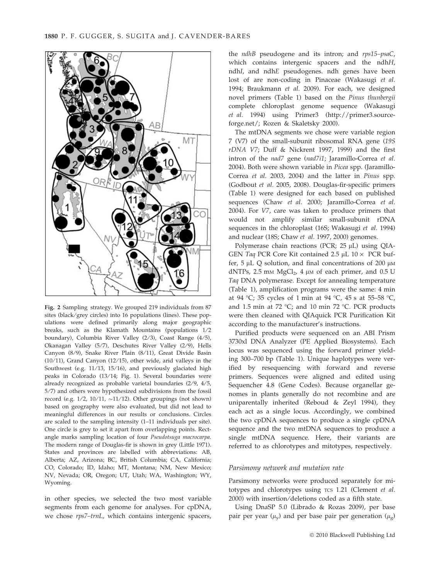

Fig. 2 Sampling strategy. We grouped 219 individuals from 87 sites (black/grey circles) into 16 populations (lines). These populations were defined primarily along major geographic breaks, such as the Klamath Mountains (populations  $1/2$ boundary), Columbia River Valley (2/3), Coast Range (4/5), Okanagan Valley (5/7), Deschutes River Valley (2/9), Hells Canyon (8/9), Snake River Plain (8/11), Great Divide Basin (10/11), Grand Canyon (12/15), other wide, arid valleys in the Southwest (e.g. 11/13, 15/16), and previously glaciated high peaks in Colorado (13/14; Fig. 1). Several boundaries were already recognized as probable varietal boundaries  $(2/9, 4/5,$ 5/7) and others were hypothesized subdivisions from the fossil record (e.g.  $1/2$ ,  $10/11$ ,  $\sim$ 11/12). Other groupings (not shown) based on geography were also evaluated, but did not lead to meaningful differences in our results or conclusions. Circles are scaled to the sampling intensity (1–11 individuals per site). One circle is grey to set it apart from overlapping points. Rectangle marks sampling location of four Pseudotsuga macrocarpa. The modern range of Douglas-fir is shown in grey (Little 1971). States and provinces are labelled with abbreviations: AB, Alberta; AZ, Arizona; BC, British Columbia; CA, California; CO, Colorado; ID, Idaho; MT, Montana; NM, New Mexico; NV, Nevada; OR, Oregon; UT, Utah; WA, Washington; WY, Wyoming.

in other species, we selected the two most variable segments from each genome for analyses. For cpDNA, we chose rps7–trnL, which contains intergenic spacers,

the ndhB pseudogene and its intron; and rps15–psaC, which contains intergenic spacers and the ndhH, ndhI, and ndhE pseudogenes. ndh genes have been lost of are non-coding in Pinaceae (Wakasugi et al. 1994; Braukmann et al. 2009). For each, we designed novel primers (Table 1) based on the Pinus thunbergii complete chloroplast genome sequence (Wakasugi et al. 1994) using Primer3 (http://primer3.sourceforge.net/; Rozen & Skaletsky 2000).

The mtDNA segments we chose were variable region 7 (V7) of the small-subunit ribosomal RNA gene (19S  $rDNA$  V7; Duff & Nickrent 1997, 1999) and the first intron of the nad7 gene (nad7i1; Jaramillo-Correa et al. 2004). Both were shown variable in Picea spp. (Jaramillo-Correa et al. 2003, 2004) and the latter in Pinus spp. (Godbout et al. 2005, 2008). Douglas-fir-specific primers (Table 1) were designed for each based on published sequences (Chaw et al. 2000; Jaramillo-Correa et al. 2004). For V7, care was taken to produce primers that would not amplify similar small-subunit rDNA sequences in the chloroplast (16S; Wakasugi et al. 1994) and nuclear (18S; Chaw et al. 1997, 2000) genomes.

Polymerase chain reactions (PCR;  $25 \mu L$ ) using QIA-GEN Taq PCR Core Kit contained 2.5 µL 10  $\times$  PCR buffer,  $5 \mu L$  Q solution, and final concentrations of 200  $\mu$ M dNTPs, 2.5 mm  $MgCl<sub>2</sub>$ , 4 µm of each primer, and 0.5 U Taq DNA polymerase. Except for annealing temperature (Table 1), amplification programs were the same: 4 min at 94 °C; 35 cycles of 1 min at 94 °C, 45 s at 55–58 °C, and 1.5 min at 72 °C; and 10 min 72 °C. PCR products were then cleaned with QIAquick PCR Purification Kit according to the manufacturer's instructions.

Purified products were sequenced on an ABI Prism 3730xl DNA Analyzer (PE Applied Biosystems). Each locus was sequenced using the forward primer yielding 300–700 bp (Table 1). Unique haplotypes were verified by resequencing with forward and reverse primers. Sequences were aligned and edited using Sequencher 4.8 (Gene Codes). Because organellar genomes in plants generally do not recombine and are uniparentally inherited (Reboud & Zeyl 1994), they each act as a single locus. Accordingly, we combined the two cpDNA sequences to produce a single cpDNA sequence and the two mtDNA sequences to produce a single mtDNA sequence. Here, their variants are referred to as chlorotypes and mitotypes, respectively.

## Parsimony network and mutation rate

Parsimony networks were produced separately for mitotypes and chlorotypes using TCS 1.21 (Clement et al. 2000) with insertion/deletions coded as a fifth state.

Using DnaSP 5.0 (Librado & Rozas 2009), per base pair per year ( $\mu$ <sub>y</sub>) and per base pair per generation ( $\mu$ <sub>g</sub>)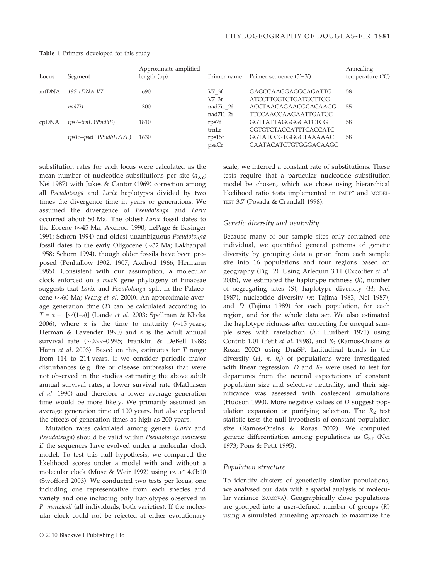| Locus | Segment                     | Approximate amplified<br>length (bp) | Primer name | Primer sequence $(5'–3')$   | Annealing<br>temperature $(^{\circ}C)$ |
|-------|-----------------------------|--------------------------------------|-------------|-----------------------------|----------------------------------------|
| mtDNA | 19S rDNA V7                 | 690                                  | V7 3f       | GAGCCAAGGAGGCAGATTG         | 58                                     |
|       |                             |                                      | $V7$ 3r     | <b>ATCCTTGGTCTGATGCTTCG</b> |                                        |
|       | nad7i1                      | 300                                  | nad7i1 2f   | ACCTAACAGAACGCACAAGG        | 55                                     |
|       |                             |                                      | nad7i1 2r   | <b>TTCCAACCAAGAATTGATCC</b> |                                        |
| cpDNA | $rps7-trnL$ ( $\Psi ndhB$ ) | 1810                                 | rps7f       | <b>GGTTATTAGGGGCATCTCG</b>  | 58                                     |
|       |                             |                                      | trnLr       | CGTGTCTACCATTTCACCATC       |                                        |
|       | rps15–psaC (ΨndhH/I/E)      | 1630                                 | rps15f      | GGTATCCGTGGGCTAAAAAC        | 58                                     |
|       |                             |                                      | psaCr       | CAATACATCTGTGGGACAAGC       |                                        |

Table 1 Primers developed for this study

substitution rates for each locus were calculated as the mean number of nucleotide substitutions per site  $(d_{XY})$ Nei 1987) with Jukes & Cantor (1969) correction among all Pseudotsuga and Larix haplotypes divided by two times the divergence time in years or generations. We assumed the divergence of Pseudotsuga and Larix occurred about 50 Ma. The oldest Larix fossil dates to the Eocene (~45 Ma; Axelrod 1990; LePage & Basinger 1991; Schorn 1994) and oldest unambiguous Pseudotsuga fossil dates to the early Oligocene ( $\sim$ 32 Ma; Lakhanpal 1958; Schorn 1994), though older fossils have been proposed (Penhallow 1902, 1907; Axelrod 1966; Hermann 1985). Consistent with our assumption, a molecular clock enforced on a matK gene phylogeny of Pinaceae suggests that Larix and Pseudotsuga split in the Palaeocene (~60 Ma; Wang et al. 2000). An approximate average generation time (T) can be calculated according to  $T = \alpha + [s/(1-s)]$  (Lande *et al.* 2003; Spellman & Klicka 2006), where  $\alpha$  is the time to maturity ( $\sim$ 15 years; Herman & Lavender 1990) and s is the adult annual survival rate (-0.99–0.995; Franklin & DeBell 1988; Hann et al. 2003). Based on this, estimates for T range from 114 to 214 years. If we consider periodic major disturbances (e.g. fire or disease outbreaks) that were not observed in the studies estimating the above adult annual survival rates, a lower survival rate (Mathiasen et al. 1990) and therefore a lower average generation time would be more likely. We primarily assumed an average generation time of 100 years, but also explored the effects of generation times as high as 200 years.

Mutation rates calculated among genera (Larix and Pseudotsuga) should be valid within Pseudotsuga menziesii if the sequences have evolved under a molecular clock model. To test this null hypothesis, we compared the likelihood scores under a model with and without a molecular clock (Muse & Weir 1992) using PAUP\* 4.0b10 (Swofford 2003). We conducted two tests per locus, one including one representative from each species and variety and one including only haplotypes observed in P. menziesii (all individuals, both varieties). If the molecular clock could not be rejected at either evolutionary scale, we inferred a constant rate of substitutions. These tests require that a particular nucleotide substitution model be chosen, which we chose using hierarchical likelihood ratio tests implemented in PAUP\* and MODEL-TEST 3.7 (Posada & Crandall 1998).

#### Genetic diversity and neutrality

Because many of our sample sites only contained one individual, we quantified general patterns of genetic diversity by grouping data a priori from each sample site into 16 populations and four regions based on geography (Fig. 2). Using Arlequin 3.11 (Excoffier et al. 2005), we estimated the haplotype richness  $(h)$ , number of segregating sites (S), haplotype diversity (H; Nei 1987), nucleotide diversity ( $\pi$ ; Tajima 1983; Nei 1987), and D (Tajima 1989) for each population, for each region, and for the whole data set. We also estimated the haplotype richness after correcting for unequal sample sizes with rarefaction  $(h_r;$  Hurlbert 1971) using Contrib 1.01 (Petit et al. 1998), and  $R_2$  (Ramos-Onsins & Rozas 2002) using DnaSP. Latitudinal trends in the diversity  $(H, \pi, h_r)$  of populations were investigated with linear regression.  $D$  and  $R_2$  were used to test for departures from the neutral expectations of constant population size and selective neutrality, and their significance was assessed with coalescent simulations (Hudson 1990). More negative values of D suggest population expansion or purifying selection. The  $R_2$  test statistic tests the null hypothesis of constant population size (Ramos-Onsins & Rozas 2002). We computed genetic differentiation among populations as  $G<sub>ST</sub>$  (Nei 1973; Pons & Petit 1995).

## Population structure

To identify clusters of genetically similar populations, we analysed our data with a spatial analysis of molecular variance (SAMOVA). Geographically close populations are grouped into a user-defined number of groups (K) using a simulated annealing approach to maximize the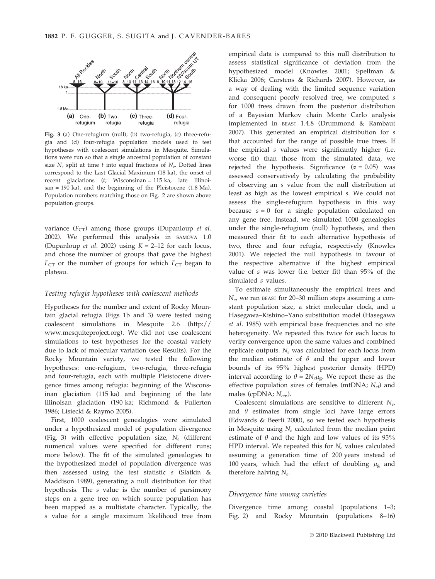

Fig. 3 (a) One-refugium (null), (b) two-refugia, (c) three-refugia and (d) four-refugia population models used to test hypotheses with coalescent simulations in Mesquite. Simulations were run so that a single ancestral population of constant size  $N_e$  split at time t into equal fractions of  $N_e$ . Dotted lines correspond to the Last Glacial Maximum (18 ka), the onset of recent glaciations (t; Wisconsinan = 115 ka, late Illinoisan = 190 ka), and the beginning of the Pleistocene (1.8 Ma). Population numbers matching those on Fig. 2 are shown above population groups.

variance  $(F_{CT})$  among those groups (Dupanloup et al. 2002). We performed this analysis in SAMOVA 1.0 (Dupanloup *et al.* 2002) using  $K = 2-12$  for each locus, and chose the number of groups that gave the highest  $F_{CT}$  or the number of groups for which  $F_{CT}$  began to plateau.

#### Testing refugia hypotheses with coalescent methods

Hypotheses for the number and extent of Rocky Mountain glacial refugia (Figs 1b and 3) were tested using coalescent simulations in Mesquite 2.6 (http:// www.mesquiteproject.org). We did not use coalescent simulations to test hypotheses for the coastal variety due to lack of molecular variation (see Results). For the Rocky Mountain variety, we tested the following hypotheses: one-refugium, two-refugia, three-refugia and four-refugia, each with multiple Pleistocene divergence times among refugia: beginning of the Wisconsinan glaciation (115 ka) and beginning of the late Illinoisan glaciation (190 ka; Richmond & Fullerton 1986; Lisiecki & Raymo 2005).

First, 1000 coalescent genealogies were simulated under a hypothesized model of population divergence (Fig. 3) with effective population size,  $N_e$  (different numerical values were specified for different runs; more below). The fit of the simulated genealogies to the hypothesized model of population divergence was then assessed using the test statistic  $s$  (Slatkin  $\&$ Maddison 1989), generating a null distribution for that hypothesis. The s value is the number of parsimony steps on a gene tree on which source population has been mapped as a multistate character. Typically, the s value for a single maximum likelihood tree from empirical data is compared to this null distribution to assess statistical significance of deviation from the hypothesized model (Knowles 2001; Spellman & Klicka 2006; Carstens & Richards 2007). However, as a way of dealing with the limited sequence variation and consequent poorly resolved tree, we computed s for 1000 trees drawn from the posterior distribution of a Bayesian Markov chain Monte Carlo analysis implemented in BEAST 1.4.8 (Drummond & Rambaut 2007). This generated an empirical distribution for s that accounted for the range of possible true trees. If the empirical s values were significantly higher (i.e. worse fit) than those from the simulated data, we rejected the hypothesis. Significance ( $\alpha = 0.05$ ) was assessed conservatively by calculating the probability of observing an s value from the null distribution at least as high as the lowest empirical s. We could not assess the single-refugium hypothesis in this way because  $s = 0$  for a single population calculated on any gene tree. Instead, we simulated 1000 genealogies under the single-refugium (null) hypothesis, and then measured their fit to each alternative hypothesis of two, three and four refugia, respectively (Knowles 2001). We rejected the null hypothesis in favour of the respective alternative if the highest empirical value of s was lower (i.e. better fit) than 95% of the simulated s values.

To estimate simultaneously the empirical trees and  $N_e$ , we ran BEAST for 20–30 million steps assuming a constant population size, a strict molecular clock, and a Hasegawa–Kishino–Yano substitution model (Hasegawa et al. 1985) with empirical base frequencies and no site heterogeneity. We repeated this twice for each locus to verify convergence upon the same values and combined replicate outputs.  $N_e$  was calculated for each locus from the median estimate of  $\theta$  and the upper and lower bounds of its 95% highest posterior density (HPD) interval according to  $\theta = 2N_e\mu_g$ . We report these as the effective population sizes of females (mtDNA;  $N_{ef}$ ) and males (cpDNA;  $N_{em}$ ).

Coalescent simulations are sensitive to different  $N_{e}$ , and  $\theta$  estimates from single loci have large errors (Edwards & Beerli 2000), so we tested each hypothesis in Mesquite using  $N_e$  calculated from the median point estimate of  $\theta$  and the high and low values of its 95% HPD interval. We repeated this for  $N_e$  values calculated assuming a generation time of 200 years instead of 100 years, which had the effect of doubling  $\mu_{\rm g}$  and therefore halving  $N_e$ .

#### Divergence time among varieties

Divergence time among coastal (populations 1–3; Fig. 2) and Rocky Mountain (populations 8–16)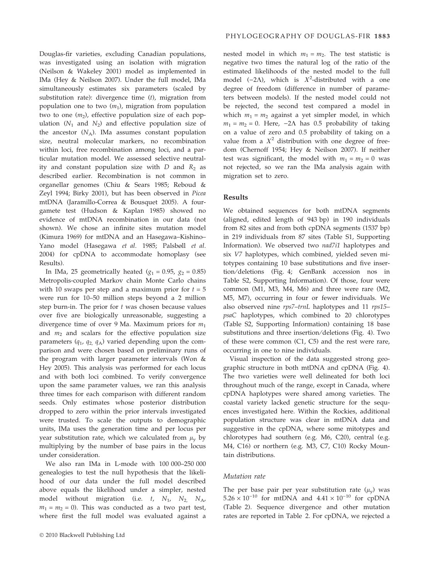Douglas-fir varieties, excluding Canadian populations, was investigated using an isolation with migration (Neilson & Wakeley 2001) model as implemented in IMa (Hey & Neilson 2007). Under the full model, IMa simultaneously estimates six parameters (scaled by substitution rate): divergence time  $(t)$ , migration from population one to two  $(m_1)$ , migration from population two to one  $(m_2)$ , effective population size of each population  $(N_1$  and  $N_2)$  and effective population size of the ancestor  $(N_A)$ . IMa assumes constant population size, neutral molecular markers, no recombination within loci, free recombination among loci, and a particular mutation model. We assessed selective neutrality and constant population size with  $D$  and  $R_2$  as described earlier. Recombination is not common in organellar genomes (Chiu & Sears 1985; Reboud & Zeyl 1994; Birky 2001), but has been observed in Picea mtDNA (Jaramillo-Correa & Bousquet 2005). A fourgamete test (Hudson & Kaplan 1985) showed no evidence of mtDNA recombination in our data (not shown). We chose an infinite sites mutation model (Kimura 1969) for mtDNA and an Hasegawa–Kishino– Yano model (Hasegawa et al. 1985; Palsbøll et al. 2004) for cpDNA to accommodate homoplasy (see Results).

In IMa, 25 geometrically heated  $(g_1 = 0.95, g_2 = 0.85)$ Metropolis-coupled Markov chain Monte Carlo chains with 10 swaps per step and a maximum prior for  $t = 5$ were run for 10–50 million steps beyond a 2 million step burn-in. The prior for  $t$  was chosen because values over five are biologically unreasonable, suggesting a divergence time of over 9 Ma. Maximum priors for  $m_1$ and  $m_2$  and scalars for the effective population size parameters  $(q_1, q_2, q_A)$  varied depending upon the comparison and were chosen based on preliminary runs of the program with larger parameter intervals (Won & Hey 2005). This analysis was performed for each locus and with both loci combined. To verify convergence upon the same parameter values, we ran this analysis three times for each comparison with different random seeds. Only estimates whose posterior distribution dropped to zero within the prior intervals investigated were trusted. To scale the outputs to demographic units, IMa uses the generation time and per locus per year substitution rate, which we calculated from  $\mu$ <sub>v</sub> by multiplying by the number of base pairs in the locus under consideration.

We also ran IMa in L-mode with 100 000–250 000 genealogies to test the null hypothesis that the likelihood of our data under the full model described above equals the likelihood under a simpler, nested model without migration (i.e.  $t$ ,  $N_1$ ,  $N_2$ ,  $N_{A}$ ,  $m_1 = m_2 = 0$ ). This was conducted as a two part test, where first the full model was evaluated against a

nested model in which  $m_1 = m_2$ . The test statistic is negative two times the natural log of the ratio of the estimated likelihoods of the nested model to the full model (-2 $\Lambda$ ), which is  $X^2$ -distributed with a one degree of freedom (difference in number of parameters between models). If the nested model could not be rejected, the second test compared a model in which  $m_1 = m_2$  against a yet simpler model, in which  $m_1 = m_2 = 0$ . Here,  $-2\Lambda$  has 0.5 probability of taking on a value of zero and 0.5 probability of taking on a value from a  $X^2$  distribution with one degree of freedom (Chernoff 1954; Hey & Neilson 2007). If neither test was significant, the model with  $m_1 = m_2 = 0$  was not rejected, so we ran the IMa analysis again with migration set to zero.

## Results

We obtained sequences for both mtDNA segments (aligned, edited length of 943 bp) in 190 individuals from 82 sites and from both cpDNA segments (1537 bp) in 219 individuals from 87 sites (Table S1, Supporting Information). We observed two nad7i1 haplotypes and six V7 haplotypes, which combined, yielded seven mitotypes containing 10 base substitutions and five insertion ⁄ deletions (Fig. 4; GenBank accession nos in Table S2, Supporting Information). Of those, four were common (M1, M3, M4, M6) and three were rare (M2, M5, M7), occurring in four or fewer individuals. We also observed nine rps7–trnL haplotypes and 11 rps15– psaC haplotypes, which combined to 20 chlorotypes (Table S2, Supporting Information) containing 18 base substitutions and three insertion/deletions (Fig. 4). Two of these were common (C1, C5) and the rest were rare, occurring in one to nine individuals.

Visual inspection of the data suggested strong geographic structure in both mtDNA and cpDNA (Fig. 4). The two varieties were well delineated for both loci throughout much of the range, except in Canada, where cpDNA haplotypes were shared among varieties. The coastal variety lacked genetic structure for the sequences investigated here. Within the Rockies, additional population structure was clear in mtDNA data and suggestive in the cpDNA, where some mitotypes and chlorotypes had southern (e.g. M6, C20), central (e.g. M4, C16) or northern (e.g. M3, C7, C10) Rocky Mountain distributions.

#### Mutation rate

The per base pair per year substitution rate  $(\mu_y)$  was  $5.26 \times 10^{-10}$  for mtDNA and  $4.41 \times 10^{-10}$  for cpDNA (Table 2). Sequence divergence and other mutation rates are reported in Table 2. For cpDNA, we rejected a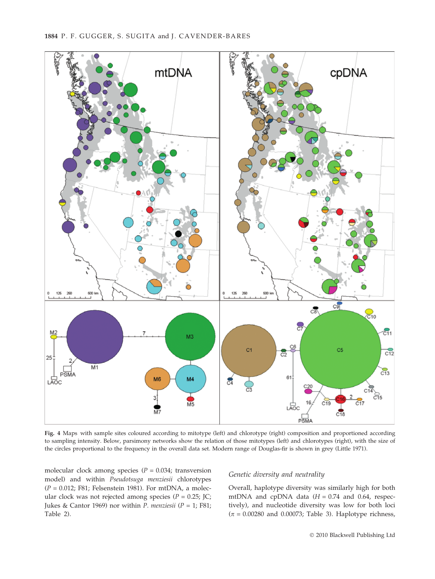

Fig. 4 Maps with sample sites coloured according to mitotype (left) and chlorotype (right) composition and proportioned according to sampling intensity. Below, parsimony networks show the relation of those mitotypes (left) and chlorotypes (right), with the size of the circles proportional to the frequency in the overall data set. Modern range of Douglas-fir is shown in grey (Little 1971).

molecular clock among species ( $P = 0.034$ ; transversion model) and within Pseudotsuga menziesii chlorotypes  $(P = 0.012; F81; Felsenstein 1981)$ . For mtDNA, a molecular clock was not rejected among species ( $P = 0.25$ ; JC; Jukes & Cantor 1969) nor within *P. menziesii* ( $P = 1$ ; F81; Table 2).

## Genetic diversity and neutrality

Overall, haplotype diversity was similarly high for both mtDNA and cpDNA data  $(H = 0.74$  and 0.64, respectively), and nucleotide diversity was low for both loci  $(\pi = 0.00280$  and 0.00073; Table 3). Haplotype richness,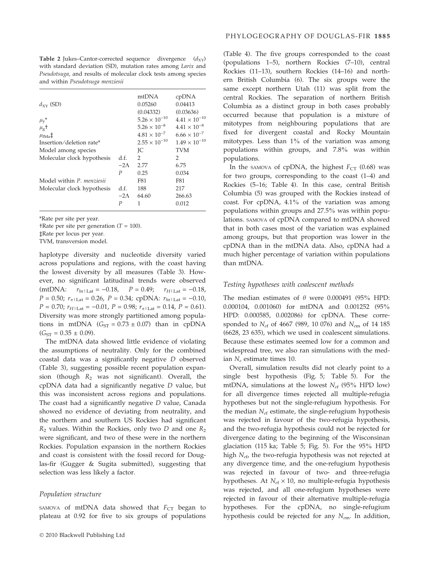**Table 2** Jukes–Cantor-corrected sequence divergence  $(d_{XY})$ with standard deviation (SD), mutation rates among Larix and Pseudotsuga, and results of molecular clock tests among species and within Pseudotsuga menziesii

| $d_{XY}$ (SD)              |             | mtDNA<br>0.05260<br>(0.04332) | cpDNA<br>0.04413<br>(0.03636) |
|----------------------------|-------------|-------------------------------|-------------------------------|
| $\mu_{\rm v}$ <sup>*</sup> |             | $5.26 \times 10^{-10}$        | $4.41 \times 10^{-10}$        |
| $\mu_{\rm g}$ +            |             | $5.26 \times 10^{-8}$         | $4.41 \times 10^{-8}$         |
| $\mu_{\text{IMa}}$         |             | $4.81 \times 10^{-7}$         | $6.66 \times 10^{-7}$         |
| Insertion/deletion rate*   |             | $2.55 \times 10^{-10}$        | $1.49 \times 10^{-10}$        |
| Model among species        |             | ŢС                            | <b>TVM</b>                    |
| Molecular clock hypothesis | d.f.        | 2                             | 2                             |
|                            | $-2\Lambda$ | 2.77                          | 6.75                          |
|                            | P           | 0.25                          | 0.034                         |
| Model within P. menziesii  |             | F81                           | F81                           |
| Molecular clock hypothesis | d.f.        | 188                           | 217                           |
|                            | $-2\Lambda$ | 64.60                         | 266.63                        |
|                            | P           | 1                             | 0.012                         |
|                            |             |                               |                               |

\*Rate per site per year.

†Rate per site per generation ( $T = 100$ ).

‡Rate per locus per year.

TVM, transversion model.

haplotype diversity and nucleotide diversity varied across populations and regions, with the coast having the lowest diversity by all measures (Table 3). However, no significant latitudinal trends were observed (mtDNA:  $r_{hr|Lat} = -0.18$ ,  $P = 0.49$ ;  $r_{H|Lat} = -0.18$ ,  $P = 0.50$ ;  $r_{\pi|{\text{Lat}}}= 0.26$ ,  $P = 0.34$ ; cpDNA:  $r_{hr|{\text{Lat}}}= -0.10$ ,  $P = 0.70$ ;  $r_{H|\text{Lat}} = -0.01$ ,  $P = 0.98$ ;  $r_{\pi|\text{Lat}} = 0.14$ ,  $P = 0.61$ ). Diversity was more strongly partitioned among populations in mtDNA  $(G_{ST} = 0.73 \pm 0.07)$  than in cpDNA  $(G<sub>ST</sub> = 0.35 \pm 0.09).$ 

The mtDNA data showed little evidence of violating the assumptions of neutrality. Only for the combined coastal data was a significantly negative D observed (Table 3), suggesting possible recent population expansion (though  $R_2$  was not significant). Overall, the cpDNA data had a significantly negative D value, but this was inconsistent across regions and populations. The coast had a significantly negative D value, Canada showed no evidence of deviating from neutrality, and the northern and southern US Rockies had significant  $R_2$  values. Within the Rockies, only two D and one  $R_2$ were significant, and two of these were in the northern Rockies. Population expansion in the northern Rockies and coast is consistent with the fossil record for Douglas-fir (Gugger & Sugita submitted), suggesting that selection was less likely a factor.

#### Population structure

SAMOVA of mtDNA data showed that  $F_{CT}$  began to plateau at 0.92 for five to six groups of populations (Table 4). The five groups corresponded to the coast (populations 1–5), northern Rockies (7–10), central Rockies (11–13), southern Rockies (14–16) and northern British Columbia (6). The six groups were the same except northern Utah (11) was split from the central Rockies. The separation of northern British Columbia as a distinct group in both cases probably occurred because that population is a mixture of mitotypes from neighbouring populations that are fixed for divergent coastal and Rocky Mountain mitotypes. Less than 1% of the variation was among populations within groups, and 7.8% was within populations.

In the samova of cpDNA, the highest  $F_{CT}$  (0.68) was for two groups, corresponding to the coast (1–4) and Rockies (5–16; Table 4). In this case, central British Columbia (5) was grouped with the Rockies instead of coast. For cpDNA, 4.1% of the variation was among populations within groups and 27.5% was within populations. SAMOVA of cpDNA compared to mtDNA showed that in both cases most of the variation was explained among groups, but that proportion was lower in the cpDNA than in the mtDNA data. Also, cpDNA had a much higher percentage of variation within populations than mtDNA.

## Testing hypotheses with coalescent methods

The median estimates of  $\theta$  were 0.000491 (95% HPD: 0.000104, 0.001060) for mtDNA and 0.001252 (95% HPD: 0.000585, 0.002086) for cpDNA. These corresponded to  $N_{ef}$  of 4667 (989, 10 076) and  $N_{em}$  of 14 185 (6628, 23 635), which we used in coalescent simulations. Because these estimates seemed low for a common and widespread tree, we also ran simulations with the median  $N_e$  estimate times 10.

Overall, simulation results did not clearly point to a single best hypothesis (Fig. 5; Table 5). For the mtDNA, simulations at the lowest  $N_{\text{ef}}$  (95% HPD low) for all divergence times rejected all multiple-refugia hypotheses but not the single-refugium hypothesis. For the median  $N_{\text{ef}}$  estimate, the single-refugium hypothesis was rejected in favour of the two-refugia hypothesis, and the two-refugia hypothesis could not be rejected for divergence dating to the beginning of the Wisconsinan glaciation (115 ka; Table 5; Fig. 5). For the 95% HPD high  $N_{ef}$ , the two-refugia hypothesis was not rejected at any divergence time, and the one-refugium hypothesis was rejected in favour of two- and three-refugia hypotheses. At  $N_{\text{ef}} \times 10$ , no multiple-refugia hypothesis was rejected, and all one-refugium hypotheses were rejected in favour of their alternative multiple-refugia hypotheses. For the cpDNA, no single-refugium hypothesis could be rejected for any  $N_{em}$ . In addition,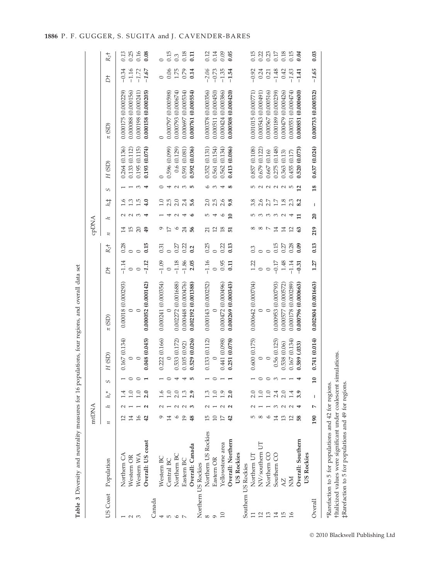|                    |                     | mtDNA              |    |                                                                                                                                                                                                                                                                                                                                                                                  |                 |               |                     |                 |                    | cpDNA            |                 |               |                 |               |                     |                |         |
|--------------------|---------------------|--------------------|----|----------------------------------------------------------------------------------------------------------------------------------------------------------------------------------------------------------------------------------------------------------------------------------------------------------------------------------------------------------------------------------|-----------------|---------------|---------------------|-----------------|--------------------|------------------|-----------------|---------------|-----------------|---------------|---------------------|----------------|---------|
|                    | US Coast Population | $\boldsymbol{\pi}$ | 11 | $h_r^*$                                                                                                                                                                                                                                                                                                                                                                          | S               | H (SD)        | $\pi$ (SD)          | đ               | $R_2$ <sup>+</sup> | $\overline{\mu}$ | 11              | $h, \ddagger$ | S               | H (SD)        | $\pi$ (SD)          | $\overline{D}$ | $R_2$ † |
|                    | Northern CA         |                    |    |                                                                                                                                                                                                                                                                                                                                                                                  |                 | 0.167(0.134)  | 0.00018 (0.000293)  | $-1.14$         | 0.28               |                  |                 | 1.6           |                 | 0.264 (0.136) | 0.000175 (0.000229) | $-0.34$        | 0.13    |
| $\sim$             | Western OR          | 14                 |    | 1.0                                                                                                                                                                                                                                                                                                                                                                              | $\circ$         | $\circ$       | $\circ$             | $\circ$         |                    | 15               |                 | 1.3           |                 | 0.133 (0.112) | 0.000088 (0.000156) | $-1.16$        | 0.25    |
| m                  | Western WA          | 16                 |    | 1.0                                                                                                                                                                                                                                                                                                                                                                              | $\circ$         | $\subset$     | $\subset$           | $\circ$         | $\circ$            | 20               |                 | 1.5           | S               | 0.195 (0.115) | 0.000198 (0.000241) | $-1.72$        | 0.16    |
|                    | Overall: US coast   | 42                 |    | 2.0                                                                                                                                                                                                                                                                                                                                                                              |                 | 0.048 (0.045) | 0.000052(0.000142)  | $-1.12$         | 0.15               | 49               |                 | 4.0           | 4               | 0.193(0.074)  | 0.000158 (0.000205) | $-1.67$        | 0.08    |
| Canada             |                     |                    |    |                                                                                                                                                                                                                                                                                                                                                                                  |                 |               |                     |                 |                    |                  |                 |               |                 |               |                     |                |         |
| 4                  | Western BC          |                    |    |                                                                                                                                                                                                                                                                                                                                                                                  |                 | 0.222(0.166)  | 0.000241(0.000354)  | $-1.09$         | 0.31               | Q                |                 |               |                 | $\circ$       | $\circ$             |                |         |
| $\mathsf{L}\Omega$ | Central BC          |                    |    | $\frac{0}{1}$                                                                                                                                                                                                                                                                                                                                                                    |                 |               |                     | $\circ$         |                    | 17               |                 | 2.5           |                 | 0.596 (0.099) | 0.000797 (0.000598) | 0.06           | 0.15    |
| 0                  | Northern BC         |                    |    | 2.0                                                                                                                                                                                                                                                                                                                                                                              | 4               | 0.533 (0.172) | 0.002272 (0.001688) | $-1.18$         | 0.27               | $\circ$          |                 | 2.0           | $\sim$          | 0.6(0.129)    | 0.000793 (0.000674) | 1.75           | 0.3     |
|                    | Eastern BC          | $\mathsf{D}$       |    | 1.3                                                                                                                                                                                                                                                                                                                                                                              |                 | 0.105(0.92)   | 0.000448 (0.000476) | $-1.86$         | 0.22               | 24               |                 | 2.4           | S               | 0.591 (0.081) | 0.000697 (0.000534) | 0.79           | 0.18    |
|                    | Overall: Canada     | 48                 |    | 2.9                                                                                                                                                                                                                                                                                                                                                                              | 5               | 0.529 (0.026) | 0.002192 (0.001388) | 2.05            | 0.2                | 56               |                 | 5.6           | LO <sub>1</sub> | 0.592 (0.036) | 0.000761 (0.000554) | 0.14           | 0.11    |
|                    | Northern US Rockies |                    |    |                                                                                                                                                                                                                                                                                                                                                                                  |                 |               |                     |                 |                    |                  |                 |               |                 |               |                     |                |         |
| 8                  | Northern US Rockies |                    |    |                                                                                                                                                                                                                                                                                                                                                                                  |                 | 0.133 (0.112) | 0.000143 (0.000252) | $-1.16$         | 0.25               | $\overline{c}$   | $\mathfrak{L}$  | 2.0           | $\circ$         | 0.352(0.131)  | 0.000378 (0.000356) | $-2.06$        | 0.12    |
| G                  | Eastern OR          |                    |    | $\overline{1.0}$                                                                                                                                                                                                                                                                                                                                                                 |                 |               | $\circ$             | $\circ$         | $\circ$            | 12               | ↤               | 2.5           | $\infty$        | 0.561 (0.154) | 0.000511 (0.000450) | $-0.73$        | 0.14    |
|                    | Yellowstone area    |                    |    | 1.9                                                                                                                                                                                                                                                                                                                                                                              |                 | 0.441 (0.098) | 0.000472 (0.000496) | 0.95            | 0.22               | 18               | ی               | 2.6           | ෑ               | 0.562 (0.134) | 0.000424 (0.000386) | $-1.35$        | 0.09    |
|                    | Overall: Northern   | $\overline{4}$     |    | 2.0                                                                                                                                                                                                                                                                                                                                                                              |                 | 0.251 (0.078) | 0.000269 (0.000343) | $\overline{11}$ | 0.13               | 51               | $\mathbf{10}$   | 9.8           | $\infty$        | 0.413 (0.086) | 0.000508(0.000420)  | $-1.54$        | 0.05    |
|                    | US Rockies          |                    |    |                                                                                                                                                                                                                                                                                                                                                                                  |                 |               |                     |                 |                    |                  |                 |               |                 |               |                     |                |         |
|                    | Southern US Rockies |                    |    |                                                                                                                                                                                                                                                                                                                                                                                  |                 |               |                     |                 |                    |                  |                 |               |                 |               |                     |                |         |
|                    | Northern UT         | ഥ                  |    |                                                                                                                                                                                                                                                                                                                                                                                  |                 | 0.600(0.175)  | 0.000642 (0.000704) | 1.22            | 0.3                | 8                | 5               | 3.8           | 5               | 0.857 (0.108) | 0.001015 (0.000771) | $-0.92$        | 0.15    |
| 12                 | NV/southern UT      | $^{\circ}$         |    | 1.0                                                                                                                                                                                                                                                                                                                                                                              |                 | $\circ$       | $\circ$             | $\circ$         | $\circ$            | $^{\circ}$       | ∞               | 2.6           | $\sim$          | 0.679 (0.122) | 0.000543 (0.000491) | 0.24           | 0.22    |
| 13                 | Northern CC         |                    |    | 1.0                                                                                                                                                                                                                                                                                                                                                                              | $\circ$         | $\circ$       | $\circ$             | $\circ$         | $\circ$            | $\overline{ }$   | ∞               | 2.7           | $N$ $N$         | 0.667(0.16)   | 0.000567 (0.000516) | 0.21           | 0.23    |
| $\overline{14}$    | Southern CO         | 14                 |    | 2.4                                                                                                                                                                                                                                                                                                                                                                              | S               | 0.56 (0.125)  | 0.000953 (0.000793) | $-0.17$         | 0.15               | 14               | ∞               | 1.7           |                 | 0.275 (0.148) | 0.000189 (0.000239) | $-1.48$        | 0.17    |
| 15                 | $\lambda$ Z         |                    |    |                                                                                                                                                                                                                                                                                                                                                                                  |                 | 0.538(0.06)   | 0.000577 (0.000572) | 1.48            | 0.27               | 14               | $\sim$          | 1.8           | $\sim$ $\sim$   | 0.363(0.13)   | 0.000479 (0.000426) | 0.42           | 0.18    |
| $\frac{1}{6}$      | ŠМ                  | $^{12}$            |    |                                                                                                                                                                                                                                                                                                                                                                                  |                 | 0.167(0.134)  | 0.000178 (0.000289) | $-1.14$         | 0.28               | 12               |                 | 2.3           |                 | 0.455 (0.17)  | 0.000551 (0.000474) | $-1.83$        | 0.15    |
|                    | Overall: Southern   |                    |    |                                                                                                                                                                                                                                                                                                                                                                                  |                 | 0.589 (.033)  | 0.000796 (0.000663) | $-0.31$         | 0.09               | G3               | ᄇ               | 8.2           | $\overline{12}$ | 0.520 (0.073) | 0.000851 (0.000600) | $-1.41$        | 0.04    |
|                    | US Rockies          |                    |    |                                                                                                                                                                                                                                                                                                                                                                                  |                 |               |                     |                 |                    |                  |                 |               |                 |               |                     |                |         |
| Overall            |                     | 190                | Ņ  | $\begin{array}{c} \rule{0pt}{2.5ex} \rule{0pt}{2.5ex} \rule{0pt}{2.5ex} \rule{0pt}{2.5ex} \rule{0pt}{2.5ex} \rule{0pt}{2.5ex} \rule{0pt}{2.5ex} \rule{0pt}{2.5ex} \rule{0pt}{2.5ex} \rule{0pt}{2.5ex} \rule{0pt}{2.5ex} \rule{0pt}{2.5ex} \rule{0pt}{2.5ex} \rule{0pt}{2.5ex} \rule{0pt}{2.5ex} \rule{0pt}{2.5ex} \rule{0pt}{2.5ex} \rule{0pt}{2.5ex} \rule{0pt}{2.5ex} \rule{0$ | $\overline{10}$ | 0.741 (0.014) | 0.002804 (0.001663) | 1.27            | 0.13               | 219              | $\overline{20}$ | I             | 18              | 0.637(0.024)  | 0.000733 (0.000532) | $-1.65$        | 0.03    |
|                    |                     |                    |    |                                                                                                                                                                                                                                                                                                                                                                                  |                 |               |                     |                 |                    |                  |                 |               |                 |               |                     |                |         |

| ינו אנ<br>a cat                                            |
|------------------------------------------------------------|
| ì                                                          |
|                                                            |
| きりこく てきり りそうそうそ そうり<br><u>ייי לייי</u><br>)<br>J<br>֖֚֚֚֬  |
| ׇ֧֚֕                                                       |
| しょうさん<br>.<br>.<br>.<br>í<br>í                             |
|                                                            |
| ;                                                          |
| <b>The common of the common</b><br>.<br>.<br>.             |
|                                                            |
| .<br>7<br>7<br>7<br>8<br>7<br>8<br>7<br>1<br>$\frac{1}{2}$ |
| l<br>ļ<br>l                                                |
|                                                            |
| Table                                                      |

 $*$ Rarefaction to 5 for populations and 42 for regions.<br>Hialicized values were significant under coalescent simulations.<br> $\sharp$ Rarefaction to 5 for populations and 49 for regions. †Italicized values were significant under coalescent simulations. ‡Rarefaction to 5 for populations and 49 for regions. \*Rarefaction to 5 for populations and 42 for regions.

- 2010 Blackwell Publishing Ltd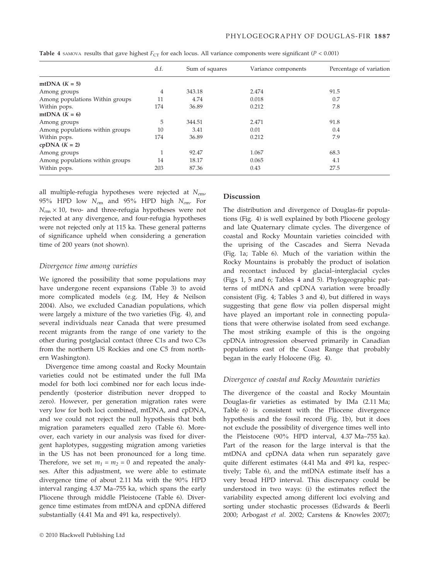|                                 | d.f. | Sum of squares | Variance components | Percentage of variation |
|---------------------------------|------|----------------|---------------------|-------------------------|
| mtDNA $(K = 5)$                 |      |                |                     |                         |
| Among groups                    | 4    | 343.18         | 2.474               | 91.5                    |
| Among populations Within groups | 11   | 4.74           | 0.018               | 0.7                     |
| Within pops.                    | 174  | 36.89          | 0.212               | 7.8                     |
| mtDNA $(K = 6)$                 |      |                |                     |                         |
| Among groups                    | 5    | 344.51         | 2.471               | 91.8                    |
| Among populations within groups | 10   | 3.41           | 0.01                | 0.4                     |
| Within pops.                    | 174  | 36.89          | 0.212               | 7.9                     |
| $cpDNA (K = 2)$                 |      |                |                     |                         |
| Among groups                    |      | 92.47          | 1.067               | 68.3                    |
| Among populations within groups | 14   | 18.17          | 0.065               | 4.1                     |
| Within pops.                    | 203  | 87.36          | 0.43                | 27.5                    |

Table 4 SAMOVA results that gave highest  $F_{CT}$  for each locus. All variance components were significant ( $P < 0.001$ )

all multiple-refugia hypotheses were rejected at  $N_{em}$ , 95% HPD low  $N_{em}$  and 95% HPD high  $N_{em}$ . For  $N_{em}$  × 10, two- and three-refugia hypotheses were not rejected at any divergence, and four-refugia hypotheses were not rejected only at 115 ka. These general patterns of significance upheld when considering a generation time of 200 years (not shown).

#### Divergence time among varieties

We ignored the possibility that some populations may have undergone recent expansions (Table 3) to avoid more complicated models (e.g. IM, Hey & Neilson 2004). Also, we excluded Canadian populations, which were largely a mixture of the two varieties (Fig. 4), and several individuals near Canada that were presumed recent migrants from the range of one variety to the other during postglacial contact (three C1s and two C3s from the northern US Rockies and one C5 from northern Washington).

Divergence time among coastal and Rocky Mountain varieties could not be estimated under the full IMa model for both loci combined nor for each locus independently (posterior distribution never dropped to zero). However, per generation migration rates were very low for both loci combined, mtDNA, and cpDNA, and we could not reject the null hypothesis that both migration parameters equalled zero (Table 6). Moreover, each variety in our analysis was fixed for divergent haplotypes, suggesting migration among varieties in the US has not been pronounced for a long time. Therefore, we set  $m_1 = m_2 = 0$  and repeated the analyses. After this adjustment, we were able to estimate divergence time of about 2.11 Ma with the 90% HPD interval ranging 4.37 Ma–755 ka, which spans the early Pliocene through middle Pleistocene (Table 6). Divergence time estimates from mtDNA and cpDNA differed substantially (4.41 Ma and 491 ka, respectively).

#### Discussion

The distribution and divergence of Douglas-fir populations (Fig. 4) is well explained by both Pliocene geology and late Quaternary climate cycles. The divergence of coastal and Rocky Mountain varieties coincided with the uprising of the Cascades and Sierra Nevada (Fig. 1a; Table 6). Much of the variation within the Rocky Mountains is probably the product of isolation and recontact induced by glacial–interglacial cycles (Figs 1, 5 and 6; Tables 4 and 5). Phylogeographic patterns of mtDNA and cpDNA variation were broadly consistent (Fig. 4; Tables 3 and 4), but differed in ways suggesting that gene flow via pollen dispersal might have played an important role in connecting populations that were otherwise isolated from seed exchange. The most striking example of this is the ongoing cpDNA introgression observed primarily in Canadian populations east of the Coast Range that probably began in the early Holocene (Fig. 4).

#### Divergence of coastal and Rocky Mountain varieties

The divergence of the coastal and Rocky Mountain Douglas-fir varieties as estimated by IMa (2.11 Ma; Table 6) is consistent with the Pliocene divergence hypothesis and the fossil record (Fig. 1b), but it does not exclude the possibility of divergence times well into the Pleistocene (90% HPD interval, 4.37 Ma–755 ka). Part of the reason for the large interval is that the mtDNA and cpDNA data when run separately gave quite different estimates (4.41 Ma and 491 ka, respectively; Table 6), and the mtDNA estimate itself has a very broad HPD interval. This discrepancy could be understood in two ways: (i) the estimates reflect the variability expected among different loci evolving and sorting under stochastic processes (Edwards & Beerli 2000; Arbogast et al. 2002; Carstens & Knowles 2007);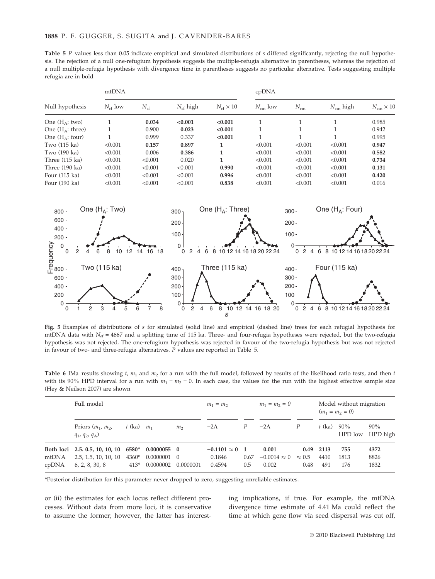Table 5 P values less than 0.05 indicate empirical and simulated distributions of s differed significantly, rejecting the null hypothesis. The rejection of a null one-refugium hypothesis suggests the multiple-refugia alternative in parentheses, whereas the rejection of a null multiple-refugia hypothesis with divergence time in parentheses suggests no particular alternative. Tests suggesting multiple refugia are in bold

|                          | mtDNA               |           |                      |                        | cpDNA               |          |               |                        |
|--------------------------|---------------------|-----------|----------------------|------------------------|---------------------|----------|---------------|------------------------|
| Null hypothesis          | $N_{\text{ef}}$ low | $N_{e f}$ | $N_{\text{ef}}$ high | $N_{\rm ef} \times 10$ | $N_{\text{em}}$ low | $N_{em}$ | $N_{em}$ high | $N_{\rm em} \times 10$ |
| One $(H_A: two)$         |                     | 0.034     | < 0.001              | < 0.001                |                     | 1        | 1             | 0.985                  |
| One $(H_A: three)$       |                     | 0.900     | 0.023                | < 0.001                |                     |          |               | 0.942                  |
| One $(H_A:$ four)        |                     | 0.999     | 0.337                | < 0.001                |                     |          | 1             | 0.995                  |
| Two (115 ka)             | < 0.001             | 0.157     | 0.897                | 1                      | < 0.001             | < 0.001  | < 0.001       | 0.947                  |
| Two (190 ka)             | < 0.001             | 0.006     | 0.386                | 1                      | < 0.001             | < 0.001  | < 0.001       | 0.582                  |
| Three $(115 \text{ ka})$ | < 0.001             | < 0.001   | 0.020                | 1                      | < 0.001             | < 0.001  | < 0.001       | 0.734                  |
| Three $(190 \text{ ka})$ | < 0.001             | < 0.001   | < 0.001              | 0.990                  | < 0.001             | < 0.001  | < 0.001       | 0.131                  |
| Four (115 ka)            | < 0.001             | < 0.001   | < 0.001              | 0.996                  | < 0.001             | < 0.001  | < 0.001       | 0.420                  |
| Four (190 ka)            | < 0.001             | < 0.001   | < 0.001              | 0.838                  | < 0.001             | < 0.001  | < 0.001       | 0.016                  |



Fig. 5 Examples of distributions of s for simulated (solid line) and empirical (dashed line) trees for each refugial hypothesis for mtDNA data with  $N_{ef}$  = 4667 and a splitting time of 115 ka. Three- and four-refugia hypotheses were rejected, but the two-refugia hypothesis was not rejected. The one-refugium hypothesis was rejected in favour of the two-refugia hypothesis but was not rejected in favour of two- and three-refugia alternatives. P values are reported in Table 5.

Table 6 IMa results showing  $t$ ,  $m_1$  and  $m_2$  for a run with the full model, followed by results of the likelihood ratio tests, and then  $t$ with its 90% HPD interval for a run with  $m_1 = m_2 = 0$ . In each case, the values for the run with the highest effective sample size (Hey & Neilson 2007) are shown

|                | Full model                                                                     |                 |                                         |                  | $m_1 = m_2$                             |                               | $m_1 = m_2 = 0$                       |                               |                     | Model without migration<br>$(m_1 = m_2 = 0)$ |                      |
|----------------|--------------------------------------------------------------------------------|-----------------|-----------------------------------------|------------------|-----------------------------------------|-------------------------------|---------------------------------------|-------------------------------|---------------------|----------------------------------------------|----------------------|
|                | Priors $(m_1, m_2,$<br>$q_1$ , $q_2$ , $q_A$ )                                 | $t$ (ka)        | m <sub>1</sub>                          | m <sub>2</sub>   | $-2\Lambda$                             | Р                             | $-2\Lambda$                           | P                             | $t$ (ka)            | 90%<br>HPD low                               | 90%<br>HPD high      |
| mtDNA<br>cpDNA | Both loci 2.5. 0.5, 10, 10, 10 6580*<br>2.5, 1.5, 10, 10, 10<br>6, 2, 8, 30, 8 | 4360*<br>$413*$ | $0.0000055$ 0<br>0.0000001<br>0.0000002 | - 0<br>0.0000001 | $-0.1101 \approx 0$<br>0.1846<br>0.4594 | $\blacksquare$<br>0.67<br>0.5 | 0.001<br>$-0.0014 \approx 0$<br>0.002 | 0.49<br>$\approx 0.5$<br>0.48 | 2113<br>4410<br>491 | 755<br>1813<br>176                           | 4372<br>8826<br>1832 |

\*Posterior distribution for this parameter never dropped to zero, suggesting unreliable estimates.

or (ii) the estimates for each locus reflect different processes. Without data from more loci, it is conservative to assume the former; however, the latter has interesting implications, if true. For example, the mtDNA divergence time estimate of 4.41 Ma could reflect the time at which gene flow via seed dispersal was cut off,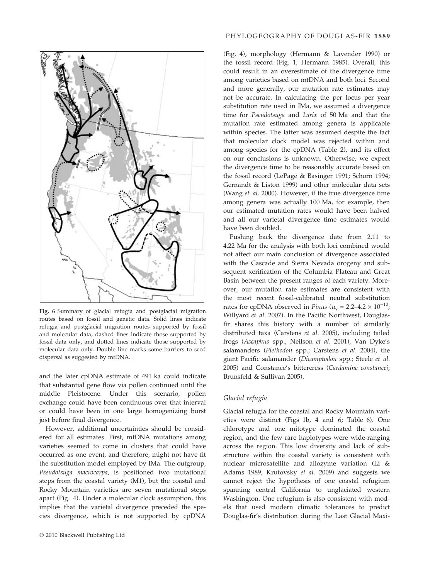

Fig. 6 Summary of glacial refugia and postglacial migration routes based on fossil and genetic data. Solid lines indicate refugia and postglacial migration routes supported by fossil and molecular data, dashed lines indicate those supported by fossil data only, and dotted lines indicate those supported by molecular data only. Double line marks some barriers to seed dispersal as suggested by mtDNA.

and the later cpDNA estimate of 491 ka could indicate that substantial gene flow via pollen continued until the middle Pleistocene. Under this scenario, pollen exchange could have been continuous over that interval or could have been in one large homogenizing burst just before final divergence.

However, additional uncertainties should be considered for all estimates. First, mtDNA mutations among varieties seemed to come in clusters that could have occurred as one event, and therefore, might not have fit the substitution model employed by IMa. The outgroup, Pseudotsuga macrocarpa, is positioned two mutational steps from the coastal variety (M1), but the coastal and Rocky Mountain varieties are seven mutational steps apart (Fig. 4). Under a molecular clock assumption, this implies that the varietal divergence preceded the species divergence, which is not supported by cpDNA

(Fig. 4), morphology (Hermann & Lavender 1990) or the fossil record (Fig. 1; Hermann 1985). Overall, this could result in an overestimate of the divergence time among varieties based on mtDNA and both loci. Second and more generally, our mutation rate estimates may not be accurate. In calculating the per locus per year substitution rate used in IMa, we assumed a divergence time for Pseudotsuga and Larix of 50 Ma and that the mutation rate estimated among genera is applicable within species. The latter was assumed despite the fact that molecular clock model was rejected within and among species for the cpDNA (Table 2), and its effect on our conclusions is unknown. Otherwise, we expect the divergence time to be reasonably accurate based on the fossil record (LePage & Basinger 1991; Schorn 1994; Gernandt & Liston 1999) and other molecular data sets (Wang et al. 2000). However, if the true divergence time among genera was actually 100 Ma, for example, then our estimated mutation rates would have been halved and all our varietal divergence time estimates would have been doubled.

Pushing back the divergence date from 2.11 to 4.22 Ma for the analysis with both loci combined would not affect our main conclusion of divergence associated with the Cascade and Sierra Nevada orogeny and subsequent xerification of the Columbia Plateau and Great Basin between the present ranges of each variety. Moreover, our mutation rate estimates are consistent with the most recent fossil-calibrated neutral substitution rates for cpDNA observed in *Pinus* ( $\mu_{\rm v} = 2.2 - 4.2 \times 10^{-10}$ ; Willyard et al. 2007). In the Pacific Northwest, Douglasfir shares this history with a number of similarly distributed taxa (Carstens et al. 2005), including tailed frogs (Ascaphus spp.; Neilson et al. 2001), Van Dyke's salamanders (Plethodon spp.; Carstens et al. 2004), the giant Pacific salamander (Dicamptodon spp.; Steele et al. 2005) and Constance's bittercress (Cardamine constancei; Brunsfeld & Sullivan 2005).

# Glacial refugia

Glacial refugia for the coastal and Rocky Mountain varieties were distinct (Figs 1b, 4 and 6; Table 6). One chlorotype and one mitotype dominated the coastal region, and the few rare haplotypes were wide-ranging across the region. This low diversity and lack of substructure within the coastal variety is consistent with nuclear microsatellite and allozyme variation (Li & Adams 1989; Krutovsky et al. 2009) and suggests we cannot reject the hypothesis of one coastal refugium spanning central California to unglaciated western Washington. One refugium is also consistent with models that used modern climatic tolerances to predict Douglas-fir's distribution during the Last Glacial Maxi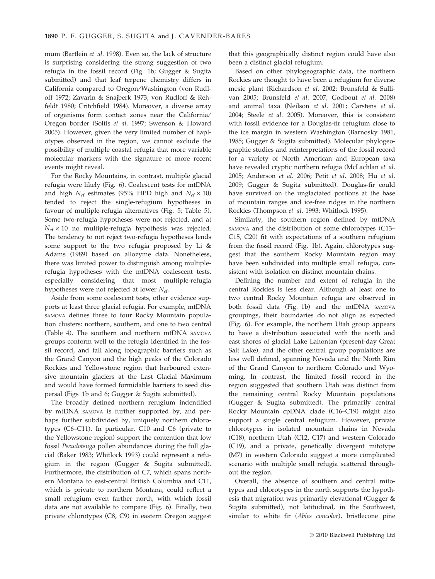mum (Bartlein et al. 1998). Even so, the lack of structure is surprising considering the strong suggestion of two refugia in the fossil record (Fig. 1b; Gugger & Sugita submitted) and that leaf terpene chemistry differs in California compared to Oregon/Washington (von Rudloff 1972; Zavarin & Snajberk 1973; von Rudloff & Rehfeldt 1980; Critchfield 1984). Moreover, a diverse array of organisms form contact zones near the California/ Oregon border (Soltis et al. 1997; Swenson & Howard 2005). However, given the very limited number of haplotypes observed in the region, we cannot exclude the possibility of multiple coastal refugia that more variable molecular markers with the signature of more recent events might reveal.

For the Rocky Mountains, in contrast, multiple glacial refugia were likely (Fig. 6). Coalescent tests for mtDNA and high  $N_{\text{ef}}$  estimates (95% HPD high and  $N_{\text{ef}} \times 10$ ) tended to reject the single-refugium hypotheses in favour of multiple-refugia alternatives (Fig. 5; Table 5). Some two-refugia hypotheses were not rejected, and at  $N_{\text{ef}} \times 10$  no multiple-refugia hypothesis was rejected. The tendency to not reject two-refugia hypotheses lends some support to the two refugia proposed by Li & Adams (1989) based on allozyme data. Nonetheless, there was limited power to distinguish among multiplerefugia hypotheses with the mtDNA coalescent tests, especially considering that most multiple-refugia hypotheses were not rejected at lower  $N_{ef}$ .

Aside from some coalescent tests, other evidence supports at least three glacial refugia. For example, mtDNA SAMOVA defines three to four Rocky Mountain population clusters: northern, southern, and one to two central (Table 4). The southern and northern mtDNA SAMOVA groups conform well to the refugia identified in the fossil record, and fall along topographic barriers such as the Grand Canyon and the high peaks of the Colorado Rockies and Yellowstone region that harboured extensive mountain glaciers at the Last Glacial Maximum and would have formed formidable barriers to seed dispersal (Figs 1b and 6; Gugger & Sugita submitted).

The broadly defined northern refugium indentified by mtDNA SAMOVA is further supported by, and perhaps further subdivided by, uniquely northern chlorotypes (C6–C11). In particular, C10 and C6 (private to the Yellowstone region) support the contention that low fossil Pseudotsuga pollen abundances during the full glacial (Baker 1983; Whitlock 1993) could represent a refugium in the region (Gugger & Sugita submitted). Furthermore, the distribution of C7, which spans northern Montana to east-central British Columbia and C11, which is private to northern Montana, could reflect a small refugium even farther north, with which fossil data are not available to compare (Fig. 6). Finally, two private chlorotypes (C8, C9) in eastern Oregon suggest

that this geographically distinct region could have also been a distinct glacial refugium.

Based on other phylogeographic data, the northern Rockies are thought to have been a refugium for diverse mesic plant (Richardson et al. 2002; Brunsfeld & Sullivan 2005; Brunsfeld et al. 2007; Godbout et al. 2008) and animal taxa (Neilson et al. 2001; Carstens et al. 2004; Steele et al. 2005). Moreover, this is consistent with fossil evidence for a Douglas-fir refugium close to the ice margin in western Washington (Barnosky 1981, 1985; Gugger & Sugita submitted). Molecular phylogeographic studies and reinterpretations of the fossil record for a variety of North American and European taxa have revealed cryptic northern refugia (McLachlan et al. 2005; Anderson et al. 2006; Petit et al. 2008; Hu et al. 2009; Gugger & Sugita submitted). Douglas-fir could have survived on the unglaciated portions at the base of mountain ranges and ice-free ridges in the northern Rockies (Thompson et al. 1993; Whitlock 1995).

Similarly, the southern region defined by mtDNA SAMOVA and the distribution of some chlorotypes (C13– C15, C20) fit with expectations of a southern refugium from the fossil record (Fig. 1b). Again, chlorotypes suggest that the southern Rocky Mountain region may have been subdivided into multiple small refugia, consistent with isolation on distinct mountain chains.

Defining the number and extent of refugia in the central Rockies is less clear. Although at least one to two central Rocky Mountain refugia are observed in both fossil data (Fig. 1b) and the mtDNA SAMOVA groupings, their boundaries do not align as expected (Fig. 6). For example, the northern Utah group appears to have a distribution associated with the north and east shores of glacial Lake Lahontan (present-day Great Salt Lake), and the other central group populations are less well defined, spanning Nevada and the North Rim of the Grand Canyon to northern Colorado and Wyoming. In contrast, the limited fossil record in the region suggested that southern Utah was distinct from the remaining central Rocky Mountain populations (Gugger & Sugita submitted). The primarily central Rocky Mountain cpDNA clade (C16–C19) might also support a single central refugium. However, private chlorotypes in isolated mountain chains in Nevada (C18), northern Utah (C12, C17) and western Colorado (C19), and a private, genetically divergent mitotype (M7) in western Colorado suggest a more complicated scenario with multiple small refugia scattered throughout the region.

Overall, the absence of southern and central mitotypes and chlorotypes in the north supports the hypothesis that migration was primarily elevational (Gugger & Sugita submitted), not latitudinal, in the Southwest, similar to white fir (Abies concolor), bristlecone pine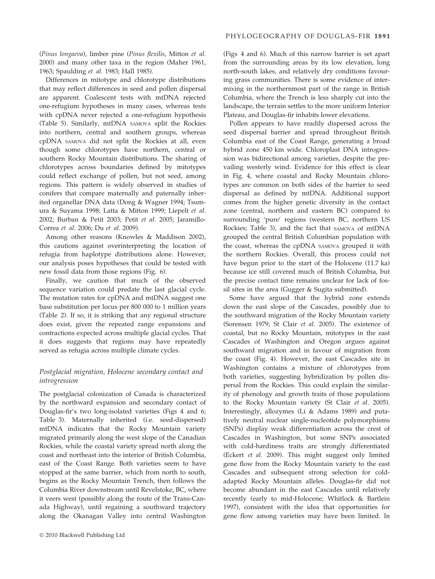(Pinus longaeva), limber pine (Pinus flexilis, Mitton et al. 2000) and many other taxa in the region (Maher 1961, 1963; Spaulding et al. 1983; Hall 1985).

Differences in mitotype and chlorotype distributions that may reflect differences in seed and pollen dispersal are apparent. Coalescent tests with mtDNA rejected one-refugium hypotheses in many cases, whereas tests with cpDNA never rejected a one-refugium hypothesis (Table 5). Similarly, mtDNA SAMOVA split the Rockies into northern, central and southern groups, whereas cpDNA SAMOVA did not split the Rockies at all, even though some chlorotypes have northern, central or southern Rocky Mountain distributions. The sharing of chlorotypes across boundaries defined by mitotypes could reflect exchange of pollen, but not seed, among regions. This pattern is widely observed in studies of conifers that compare maternally and paternally inherited organellar DNA data (Dong & Wagner 1994; Tsumura & Suyama 1998; Latta & Mitton 1999; Liepelt et al. 2002; Burban & Petit 2003; Petit et al. 2005; Jaramillo-Correa et al. 2006; Du et al. 2009).

Among other reasons (Knowles & Maddison 2002), this cautions against overinterpreting the location of refugia from haplotype distributions alone. However, our analysis poses hypotheses that could be tested with new fossil data from those regions (Fig. 6).

Finally, we caution that much of the observed sequence variation could predate the last glacial cycle. The mutation rates for cpDNA and mtDNA suggest one base substitution per locus per 800 000 to 1 million years (Table 2). If so, it is striking that any regional structure does exist, given the repeated range expansions and contractions expected across multiple glacial cycles. That it does suggests that regions may have repeatedly served as refugia across multiple climate cycles.

# Postglacial migration, Holocene secondary contact and introgression

The postglacial colonization of Canada is characterized by the northward expansion and secondary contact of Douglas-fir's two long-isolated varieties (Figs 4 and 6; Table 3). Maternally inherited (i.e. seed-dispersed) mtDNA indicates that the Rocky Mountain variety migrated primarily along the west slope of the Canadian Rockies, while the coastal variety spread north along the coast and northeast into the interior of British Columbia, east of the Coast Range. Both varieties seem to have stopped at the same barrier, which from north to south, begins as the Rocky Mountain Trench, then follows the Columbia River downstream until Revelstoke, BC, where it veers west (possibly along the route of the Trans-Canada Highway), until regaining a southward trajectory along the Okanagan Valley into central Washington

(Figs 4 and 6). Much of this narrow barrier is set apart from the surrounding areas by its low elevation, long north-south lakes, and relatively dry conditions favouring grass communities. There is some evidence of intermixing in the northernmost part of the range in British Columbia, where the Trench is less sharply cut into the landscape, the terrain settles to the more uniform Interior Plateau, and Douglas-fir inhabits lower elevations.

Pollen appears to have readily dispersed across the seed dispersal barrier and spread throughout British Columbia east of the Coast Range, generating a broad hybrid zone 450 km wide. Chloroplast DNA introgression was bidirectional among varieties, despite the prevailing westerly wind. Evidence for this effect is clear in Fig. 4, where coastal and Rocky Mountain chlorotypes are common on both sides of the barrier to seed dispersal as defined by mtDNA. Additional support comes from the higher genetic diversity in the contact zone (central, northern and eastern BC) compared to surrounding 'pure' regions (western BC, northern US Rockies; Table 3), and the fact that SAMOVA of mtDNA grouped the central British Columbian population with the coast, whereas the cpDNA SAMOVA grouped it with the northern Rockies. Overall, this process could not have begun prior to the start of the Holocene (11.7 ka) because ice still covered much of British Columbia, but the precise contact time remains unclear for lack of fossil sites in the area (Gugger & Sugita submitted).

Some have argued that the hybrid zone extends down the east slope of the Cascades, possibly due to the southward migration of the Rocky Mountain variety (Sorensen 1979; St Clair et al. 2005). The existence of coastal, but no Rocky Mountain, mitotypes in the east Cascades of Washington and Oregon argues against southward migration and in favour of migration from the coast (Fig. 4). However, the east Cascades site in Washington contains a mixture of chlorotypes from both varieties, suggesting hybridization by pollen dispersal from the Rockies. This could explain the similarity of phenology and growth traits of those populations to the Rocky Mountain variety (St Clair et al. 2005). Interestingly, allozymes (Li & Adams 1989) and putatively neutral nuclear single-nucleotide polymorphisms (SNPs) display weak differentiation across the crest of Cascades in Washington, but some SNPs associated with cold-hardiness traits are strongly differentiated (Eckert et al. 2009). This might suggest only limited gene flow from the Rocky Mountain variety to the east Cascades and subsequent strong selection for coldadapted Rocky Mountain alleles. Douglas-fir did not become abundant in the east Cascades until relatively recently (early to mid-Holocene; Whitlock & Bartlein 1997), consistent with the idea that opportunities for gene flow among varieties may have been limited. In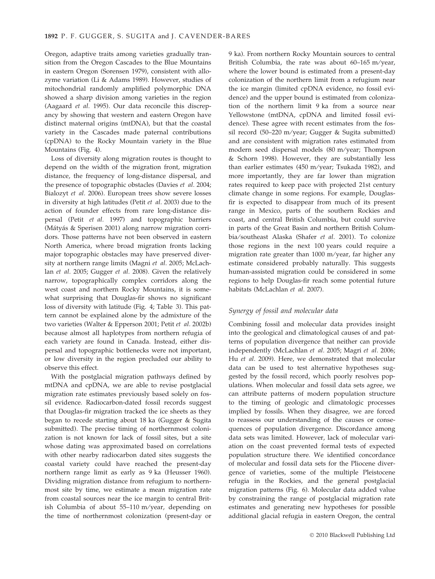Oregon, adaptive traits among varieties gradually transition from the Oregon Cascades to the Blue Mountains in eastern Oregon (Sorensen 1979), consistent with allozyme variation (Li & Adams 1989). However, studies of mitochondrial randomly amplified polymorphic DNA showed a sharp division among varieties in the region (Aagaard et al. 1995). Our data reconcile this discrepancy by showing that western and eastern Oregon have distinct maternal origins (mtDNA), but that the coastal variety in the Cascades made paternal contributions (cpDNA) to the Rocky Mountain variety in the Blue Mountains (Fig. 4).

Loss of diversity along migration routes is thought to depend on the width of the migration front, migration distance, the frequency of long-distance dispersal, and the presence of topographic obstacles (Davies et al. 2004; Bialozyt et al. 2006). European trees show severe losses in diversity at high latitudes (Petit et al. 2003) due to the action of founder effects from rare long-distance dispersal (Petit et al. 1997) and topographic barriers (Mátyás & Sperisen 2001) along narrow migration corridors. Those patterns have not been observed in eastern North America, where broad migration fronts lacking major topographic obstacles may have preserved diversity at northern range limits (Magni et al. 2005; McLachlan et al. 2005; Gugger et al. 2008). Given the relatively narrow, topographically complex corridors along the west coast and northern Rocky Mountains, it is somewhat surprising that Douglas-fir shows no significant loss of diversity with latitude (Fig. 4; Table 3). This pattern cannot be explained alone by the admixture of the two varieties (Walter & Epperson 2001; Petit et al. 2002b) because almost all haplotypes from northern refugia of each variety are found in Canada. Instead, either dispersal and topographic bottlenecks were not important, or low diversity in the region precluded our ability to observe this effect.

With the postglacial migration pathways defined by mtDNA and cpDNA, we are able to revise postglacial migration rate estimates previously based solely on fossil evidence. Radiocarbon-dated fossil records suggest that Douglas-fir migration tracked the ice sheets as they began to recede starting about 18 ka (Gugger & Sugita submitted). The precise timing of northernmost colonization is not known for lack of fossil sites, but a site whose dating was approximated based on correlations with other nearby radiocarbon dated sites suggests the coastal variety could have reached the present-day northern range limit as early as 9 ka (Heusser 1960). Dividing migration distance from refugium to northernmost site by time, we estimate a mean migration rate from coastal sources near the ice margin to central British Columbia of about  $55-110$  m/year, depending on the time of northernmost colonization (present-day or

9 ka). From northern Rocky Mountain sources to central British Columbia, the rate was about  $60-165$  m/year, where the lower bound is estimated from a present-day colonization of the northern limit from a refugium near the ice margin (limited cpDNA evidence, no fossil evidence) and the upper bound is estimated from colonization of the northern limit 9 ka from a source near Yellowstone (mtDNA, cpDNA and limited fossil evidence). These agree with recent estimates from the fossil record (50–220 m/year; Gugger & Sugita submitted) and are consistent with migration rates estimated from modern seed dispersal models  $(80 \text{ m/year})$ ; Thompson & Schorn 1998). However, they are substantially less than earlier estimates (450 m/year; Tsukada 1982), and more importantly, they are far lower than migration rates required to keep pace with projected 21st century climate change in some regions. For example, Douglasfir is expected to disappear from much of its present range in Mexico, parts of the southern Rockies and coast, and central British Columbia, but could survive in parts of the Great Basin and northern British Columbia/southeast Alaska (Shafer et al. 2001). To colonize those regions in the next 100 years could require a migration rate greater than  $1000$  m/year, far higher any estimate considered probably naturally. This suggests human-assisted migration could be considered in some regions to help Douglas-fir reach some potential future habitats (McLachlan et al. 2007).

## Synergy of fossil and molecular data

Combining fossil and molecular data provides insight into the geological and climatological causes of and patterns of population divergence that neither can provide independently (McLachlan et al. 2005; Magri et al. 2006; Hu et al. 2009). Here, we demonstrated that molecular data can be used to test alternative hypotheses suggested by the fossil record, which poorly resolves populations. When molecular and fossil data sets agree, we can attribute patterns of modern population structure to the timing of geologic and climatologic processes implied by fossils. When they disagree, we are forced to reassess our understanding of the causes or consequences of population divergence. Discordance among data sets was limited. However, lack of molecular variation on the coast prevented formal tests of expected population structure there. We identified concordance of molecular and fossil data sets for the Pliocene divergence of varieties, some of the multiple Pleistocene refugia in the Rockies, and the general postglacial migration patterns (Fig. 6). Molecular data added value by constraining the range of postglacial migration rate estimates and generating new hypotheses for possible additional glacial refugia in eastern Oregon, the central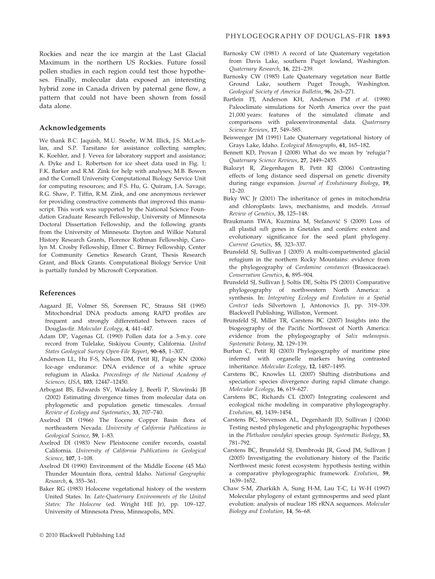#### Acknowledgements

We thank B.C. Jaquish, M.U. Stoehr, W.M. Illick, J.S. McLachlan, and S.P. Tarsitano for assistance collecting samples; K. Koehler, and J. Vevea for laboratory support and assistance; A. Dyke and L. Robertson for ice sheet data used in Fig. 1; F.K. Barker and R.M. Zink for help with analyses; M.B. Bowen and the Cornell University Computational Biology Service Unit for computing resources; and F.S. Hu, G. Quiram, J.A. Savage, R.G. Shaw, P. Tiffin, R.M. Zink, and one anonymous reviewer for providing constructive comments that improved this manuscript. This work was supported by the National Science Foundation Graduate Research Fellowship, University of Minnesota Doctoral Dissertation Fellowship, and the following grants from the University of Minnesota: Dayton and Wilkie Natural History Research Grants, Florence Rothman Fellowship, Carolyn M. Crosby Fellowship, Elmer C. Birney Fellowship, Center for Community Genetics Research Grant, Thesis Research Grant, and Block Grants. Computational Biology Service Unit is partially funded by Microsoft Corporation.

#### References

- Aagaard JE, Volmer SS, Sorensen FC, Strauss SH (1995) Mitochondrial DNA products among RAPD profiles are frequent and strongly differentiated between races of Douglas-fir. Molecular Ecology, 4, 441–447.
- Adam DP, Vagenas GL (1990) Pollen data for a 3-m.y. core record from Tulelake, Siskiyou County, California. United States Geological Survey Open-File Report, 90–65, 1–307.
- Anderson LL, Hu F-S, Nelson DM, Petit RJ, Paige KN (2006) Ice-age endurance: DNA evidence of a white spruce refugium in Alaska. Proceedings of the National Academy of Sciences, USA, 103, 12447–12450.
- Arbogast BS, Edwards SV, Wakeley J, Beerli P, Slowinski JB (2002) Estimating divergence times from molecular data on phylogenetic and population genetic timescales. Annual Review of Ecology and Systematics, 33, 707–740.
- Axelrod DI (1966) The Eocene Copper Basin flora of northeastern Nevada. University of California Publications in Geological Science, 59, 1–83.
- Axelrod DI (1983) New Pleistocene conifer records, coastal California. University of California Publications in Geological Science, 107, 1–108.
- Axelrod DI (1990) Environment of the Middle Eocene (45 Ma) Thunder Mountain flora, central Idaho. National Geographic Research, 6, 355–361.
- Baker RG (1983) Holocene vegetational history of the western United States. In: Late-Quaternary Environments of the United States: The Holocene (ed. Wright HE Jr), pp. 109–127. University of Minnesota Press, Minneapolis, MN.
- Barnosky CW (1981) A record of late Quaternary vegetation from Davis Lake, southern Puget lowland, Washington. Quaternary Research, 16, 221–239.
- Barnosky CW (1985) Late Quaternary vegetation near Battle Ground Lake, southern Puget Trough, Washington. Geological Society of America Bulletin, 96, 263–271.
- Bartlein PJ, Anderson KH, Anderson PM et al. (1998) Paleoclimate simulations for North America over the past 21,000 years: features of the simulated climate and comparisons with paleoenvironmental data. Quaternary Science Reviews, 17, 549–585.
- Beiswenger JM (1991) Late Quaternary vegetational history of Grays Lake, Idaho. Ecological Monographs, 61, 165–182.
- Bennett KD, Provan J (2008) What do we mean by 'refugia'? Quaternary Science Reviews, 27, 2449–2455.
- Bialozyt R, Ziegenhagen B, Petit RJ (2006) Contrasting effects of long distance seed dispersal on genetic diversity during range expansion. Journal of Evolutionary Biology, 19, 12–20.
- Birky WC Jr (2001) The inheritance of genes in mitochondria and chloroplasts: laws, mechanisms, and models. Annual Review of Genetics, 35, 125–148.
- Braukmann TWA, Kuzmina M, Stefanović S (2009) Loss of all plastid ndh genes in Gnetales and conifers: extent and evolutionary significance for the seed plant phylogeny. Current Genetics, 55, 323–337.
- Brunsfeld SJ, Sullivan J (2005) A multi-compartmented glacial refugium in the northern Rocky Mountains: evidence from the phylogeography of Cardamine constancei (Brassicaceae). Conservation Genetics, 6, 895–904.
- Brunsfeld SJ, Sullivan J, Soltis DE, Soltis PS (2001) Comparative phylogeography of northwestern North America: a synthesis. In: Integrating Ecology and Evolution in a Spatial Context (eds Silvertown J, Antonovics J), pp. 319–339. Blackwell Publishing, Williston, Vermont.
- Brunsfeld SJ, Miller TR, Carstens BC (2007) Insights into the biogeography of the Pacific Northwest of North America: evidence from the phylogeography of Salix melanopsis. Systematic Botany, 32, 129–139.
- Burban C, Petit RJ (2003) Phylogeography of maritime pine inferred with organelle markers having contrasted inheritance. Molecular Ecology, 12, 1487–1495.
- Carstens BC, Knowles LL (2007) Shifting distributions and speciation: species divergence during rapid climate change. Molecular Ecology, 16, 619–627.
- Carstens BC, Richards CL (2007) Integrating coalescent and ecological niche modeling in comparative phylogeography. Evolution, 61, 1439–1454.
- Carstens BC, Stevenson AL, Degenhardt JD, Sullivan J (2004) Testing nested phylogenetic and phylogeographic hypotheses in the Plethodon vandykei species group. Systematic Biology, 53, 781–792.
- Carstens BC, Brunsfeld SJ, Dembroski JR, Good JM, Sullivan J (2005) Investigating the evolutionary history of the Pacific Northwest mesic forest ecosystem: hypothesis testing within a comparative phylogeographic framework. Evolution, 59, 1639–1652.
- Chaw S-M, Zharkikh A, Sung H-M, Lau T-C, Li W-H (1997) Molecular phylogeny of extant gymnosperms and seed plant evolution: analysis of nuclear 18S rRNA sequences. Molecular Biology and Evolution, 14, 56–68.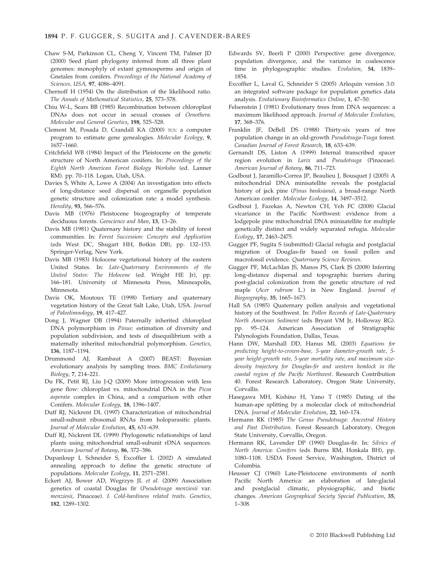- Chaw S-M, Parkinson CL, Cheng Y, Vincent TM, Palmer JD (2000) Seed plant phylogeny inferred from all three plant genomes: monophyly of extant gymnosperms and origin of Gnetales from conifers. Proceedings of the National Academy of Sciences, USA, 97, 4086–4091.
- Chernoff H (1954) On the distribution of the likelihood ratio. The Annals of Mathematical Statistics, 25, 573–578.
- Chiu W-L, Sears BB (1985) Recombination between chloroplast DNAs does not occur in sexual crosses of Oenothera. Molecular and General Genetics, 198, 525–528.
- Clement M, Posada D, Crandall KA (2000) TCS: a computer program to estimate gene genealogies. Molecular Ecology, 9, 1657–1660.
- Critchfield WB (1984) Impact of the Pleistocene on the genetic structure of North American conifers. In: Proceedings of the Eighth North American Forest Biology Worksho (ed. Lanner RM). pp. 70–118. Logan, Utah, USA.
- Davies S, White A, Lowe A (2004) An investigation into effects of long-distance seed dispersal on organelle population genetic structure and colonization rate: a model synthesis. Heredity, 93, 566–576.
- Davis MB (1976) Pleistocene biogeography of temperate deciduous forests. Geoscience and Man, 13, 13–26.
- Davis MB (1981) Quaternary history and the stability of forest communities. In: Forest Succession: Concepts and Application (eds West DC, Shugart HH, Botkin DB), pp. 132–153. Springer-Verlag, New York.
- Davis MB (1983) Holocene vegetational history of the eastern United States. In: Late-Quaternary Environments of the United States: The Holocene (ed. Wright HE Jr), pp. 166–181. University of Minnesota Press, Minneapolis, Minnesota.
- Davis OK, Moutoux TE (1998) Tertiary and quaternary vegetation history of the Great Salt Lake, Utah, USA. Journal of Paleolimnology, 19, 417–427.
- Dong J, Wagner DB (1994) Paternally inherited chloroplast DNA polymorphism in Pinus: estimation of diversity and population subdivision, and tests of disequilibrium with a maternally inherited mitochondrial polymorphism. Genetics, 136, 1187–1194.
- Drummond AJ, Rambaut A (2007) BEAST: Bayesian evolutionary analysis by sampling trees. BMC Evolutionary Biology, 7, 214–221.
- Du FK, Petit RJ, Liu J-Q (2009) More introgression with less gene flow: chloroplast vs. mitochondrial DNA in the Picea asperata complex in China, and a comparison with other Conifers. Molecular Ecology, 18, 1396–1407.
- Duff RJ, Nickrent DL (1997) Characterization of mitochondrial small-subunit ribosomal RNAs from holoparasitic plants. Journal of Molecular Evolution, 45, 631–639.
- Duff RJ, Nickrent DL (1999) Phylogenetic relationships of land plants using mitochondrial small-subunit rDNA sequences. American Journal of Botany, 86, 372–386.
- Dupanloup I, Schneider S, Excoffier L (2002) A simulated annealing approach to define the genetic structure of populations. Molecular Ecology, 11, 2571–2581.
- Eckert AJ, Bower AD, Wegrzyn JL et al. (2009) Association genetics of coastal Douglas fir (Pseudotsuga menziesii var. menziesii, Pinaceae). I. Cold-hardiness related traits. Genetics, 182, 1289–1302.
- Edwards SV, Beerli P (2000) Perspective: gene divergence, population divergence, and the variance in coalescence time in phylogeographic studies. Evolution, 54, 1839– 1854.
- Excoffier L, Laval G, Schneider S (2005) Arlequin version 3.0: an integrated software package for population genetics data analysis. Evolutionary Bioinformatics Online, 1, 47–50.
- Felsenstein J (1981) Evolutionary trees from DNA sequences: a maximum likelihood approach. Journal of Molecular Evolution, 17, 368–376.
- Franklin JF, DeBell DS (1988) Thirty-six years of tree population change in an old-growth Pseudotsuga-Tsuga forest. Canadian Journal of Forest Research, 18, 633–639.
- Gernandt DS, Liston A (1999) Internal transcribed spacer region evolution in Larix and Pseudotsuga (Pinaceae). American Journal of Botany, 86, 711–723.
- Godbout J, Jaramillo-Correa JP, Beaulieu J, Bousquet J (2005) A mitochondrial DNA minisatellite reveals the postglacial history of jack pine (Pinus banksiana), a broad-range North American conifer. Molecular Ecology, 14, 3497–3512.
- Godbout J, Fazekas A, Newton CH, Yeh FC (2008) Glacial vicariance in the Pacific Northwest: evidence from a lodgepole pine mitochondrial DNA minisatellite for multiple genetically distinct and widely separated refugia. Molecular Ecology, 17, 2463–2475.
- Gugger PF, Sugita S (submitted) Glacial refugia and postglacial migration of Douglas-fir based on fossil pollen and macrofossil evidence. Quaternary Science Reviews.
- Gugger PF, McLachlan JS, Manos PS, Clark JS (2008) Inferring long-distance dispersal and topographic barriers during post-glacial colonization from the genetic structure of red maple (Acer rubrum L.) in New England. Journal of Biogeography, 35, 1665–1673.
- Hall SA (1985) Quaternary pollen analysis and vegetational history of the Southwest. In: Pollen Records of Late-Quaternary North American Sediment (eds Bryant VM Jr, Holloway RG). pp. 95–124. American Association of Stratigraphic Palynologists Foundation, Dallas, Texas.
- Hann DW, Marshall DD, Hanus ML (2003) Equations for predicting height-to-crown-base, 5-year diameter-growth rate, 5 year height-growth rate, 5-year mortality rate, and maximum sizedensity trajectory for Douglas-fir and western hemlock in the coastal region of the Pacific Northwest. Research Contribution 40. Forest Research Laboratory, Oregon State University, Corvallis.
- Hasegawa MH, Kishino H, Yano T (1985) Dating of the human-ape splitting by a molecular clock of mitochondrial DNA. Journal of Molecular Evolution, 22, 160–174.
- Hermann RK (1985) The Genus Pseudotsuga: Ancestral History and Past Distribution. Forest Research Laboratory, Oregon State University, Corvallis, Oregon.
- Hermann RK, Lavender DP (1990) Douglas-fir. In: Silvics of North America: Conifers (eds Burns RM, Honkala BH), pp. 1080–1108. USDA Forest Service, Washington, District of Columbia.
- Heusser CJ (1960) Late-Pleistocene environments of north Pacific North America: an elaboration of late-glacial and postglacial climatic, physiographic, and biotic changes. American Geographical Society Special Publication, 35, 1–308.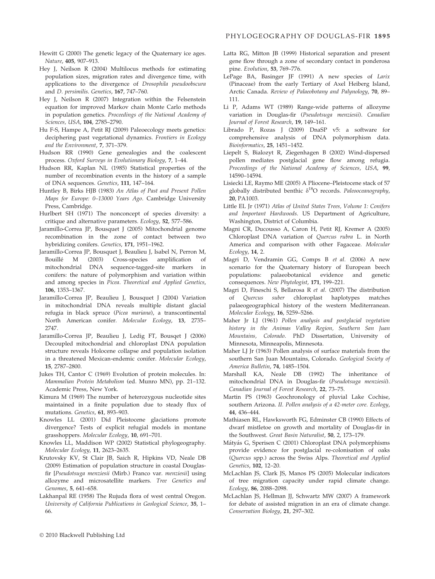- Hewitt G (2000) The genetic legacy of the Quaternary ice ages. Nature, 405, 907–913.
- Hey J, Neilson R (2004) Multilocus methods for estimating population sizes, migration rates and divergence time, with applications to the divergence of Drosophila pseudoobscura and D. persimilis. Genetics, 167, 747–760.
- Hey J, Neilson R (2007) Integration within the Felsenstein equation for improved Markov chain Monte Carlo methods in population genetics. Proceedings of the National Academy of Sciences, USA, 104, 2785–2790.
- Hu F-S, Hampe A, Petit RJ (2009) Paleoecology meets genetics: deciphering past vegetational dynamics. Frontiers in Ecology and the Environment, 7, 371–379.
- Hudson RR (1990) Gene genealogies and the coalescent process. Oxford Surveys in Evolutionary Biology, 7, 1–44.
- Hudson RR, Kaplan NL (1985) Statistical properties of the number of recombination events in the history of a sample of DNA sequences. Genetics, 111, 147–164.
- Huntley B, Birks HJB (1983) An Atlas of Past and Present Pollen Maps for Europe: 0–13000 Years Ago. Cambridge University Press, Cambridge.
- Hurlbert SH (1971) The nonconcept of species diversity: a critique and alternative parameters. Ecology, 52, 577–586.
- Jaramillo-Correa JP, Bousquet J (2005) Mitochondrial genome recombination in the zone of contact between two hybridizing conifers. Genetics, 171, 1951–1962.
- Jaramillo-Correa JP, Bousquet J, Beaulieu J, Isabel N, Perron M, Bouillé M (2003) Cross-species amplification of mitochondrial DNA sequence-tagged-site markers in conifers: the nature of polymorphism and variation within and among species in Picea. Theoretical and Applied Genetics, 106, 1353–1367.
- Jaramillo-Correa JP, Beaulieu J, Bousquet J (2004) Variation in mitochondrial DNA reveals multiple distant glacial refugia in black spruce (Picea mariana), a transcontinental North American conifer. Molecular Ecology, 13, 2735– 2747.
- Jaramillo-Correa JP, Beaulieu J, Ledig FT, Bousqet J (2006) Decoupled mitochondrial and chloroplast DNA population structure reveals Holocene collapse and population isolation in a threatened Mexican-endemic conifer. Molecular Ecology, 15, 2787–2800.
- Jukes TH, Cantor C (1969) Evolution of protein molecules. In: Mammalian Protein Metabolism (ed. Munro MN), pp. 21–132. Academic Press, New York.
- Kimura M (1969) The number of heterozygous nucleotide sites maintained in a finite population due to steady flux of mutations. Genetics, 61, 893–903.
- Knowles LL (2001) Did Pleistocene glaciations promote divergence? Tests of explicit refugial models in montane grasshoppers. Molecular Ecology, 10, 691–701.
- Knowles LL, Maddison WP (2002) Statistical phylogeography. Molecular Ecology, 11, 2623–2635.
- Krutovsky KV, St Clair JB, Saich R, Hipkins VD, Neale DB (2009) Estimation of population structure in coastal Douglasfir [Pseudotsuga menziesii (Mirb.) Franco var. menziesii] using allozyme and microsatellite markers. Tree Genetics and Genomes, 5, 641–658.
- Lakhanpal RE (1958) The Rujuda flora of west central Oregon. University of California Publications in Geological Science, 35, 1– 66.
- Latta RG, Mitton JB (1999) Historical separation and present gene flow through a zone of secondary contact in ponderosa pine. Evolution, 53, 769–776.
- LePage BA, Basinger JF (1991) A new species of Larix (Pinaceae) from the early Tertiary of Axel Heiberg Island, Arctic Canada. Review of Palaeobotany and Palynology, 70, 89– 111.
- Li P, Adams WT (1989) Range-wide patterns of allozyme variation in Douglas-fir (Pseudotsuga menziesii). Canadian Journal of Forest Research, 19, 149–161.
- Librado P, Rozas J (2009) DnaSP v5: a software for comprehensive analysis of DNA polymorphism data. Bioinformatics, 25, 1451–1452.
- Liepelt S, Bialozyt R, Ziegenhagen B (2002) Wind-dispersed pollen mediates postglacial gene flow among refugia. Proceedings of the National Academy of Sciences, USA, 99, 14590–14594.
- Lisiecki LE, Raymo ME (2005) A Pliocene–Pleistocene stack of 57 globally distributed benthic  $\delta^{18}O$  records. Paleooceanography, 20, PA1003.
- Little EL Jr (1971) Atlas of United States Trees, Volume 1: Conifers and Important Hardwoods. US Department of Agriculture, Washington, District of Columbia.
- Magni CR, Ducousso A, Caron H, Petit RJ, Kremer A (2005) Chloroplast DNA variation of Quercus rubra L. in North America and comparison with other Fagaceae. Molecular Ecology, 14, 2.
- Magri D, Vendramin GG, Comps B et al. (2006) A new scenario for the Quaternary history of European beech<br>populations: palaeobotanical evidence and genetic palaeobotanical evidence and genetic consequences. New Phytologist, 171, 199–221.
- Magri D, Fineschi S, Bellarosa R et al. (2007) The distribution of Quercus suber chloroplast haplotypes matches palaeogeographical history of the western Mediterranean. Molecular Ecology, 16, 5259–5266.
- Maher Jr LJ (1961) Pollen analysis and postglacial vegetation history in the Animas Valley Region, Southern San Juan Mountains, Colorado. PhD Dissertation, University of Minnesota, Minneapolis, Minnesota.
- Maher LJ Jr (1963) Pollen analysis of surface materials from the southern San Juan Mountains, Colorado. Geological Society of America Bulletin, 74, 1485–1504.
- Marshall KA, Neale DB (1992) The inheritance of mitochondrial DNA in Douglas-fir (Pseudotsuga menziesii). Canadian Journal of Forest Research, 22, 73–75.
- Martin PS (1963) Geochronology of pluvial Lake Cochise, southern Arizona. II. Pollen analysis of a 42-meter core. Ecology, 44, 436–444.
- Mathiasen RL, Hawksworth FG, Edminster CB (1990) Effects of dwarf mistletoe on growth and mortality of Douglas-fir in the Southwest. Great Basin Naturalist, 50, 2, 173–179.
- Mátyás G, Sperisen C (2001) Chloroplast DNA polymorphisms provide evidence for postglacial re-colonisation of oaks (Quercus spp.) across the Swiss Alps. Theoretical and Applied Genetics, 102, 12–20.
- McLachlan JS, Clark JS, Manos PS (2005) Molecular indicators of tree migration capacity under rapid climate change. Ecology, 86, 2088–2098.
- McLachlan JS, Hellman JJ, Schwartz MW (2007) A framework for debate of assisted migration in an era of climate change. Conservation Biology, 21, 297–302.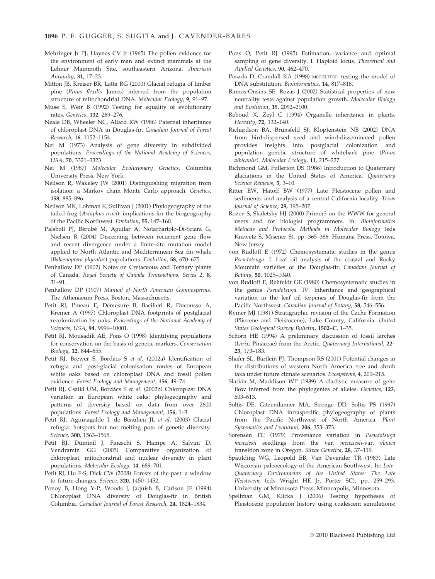- Mehringer Jr PJ, Haynes CV Jr (1965) The pollen evidence for the environment of early man and extinct mammals at the Lehner Mammoth Site, southeastern Arizona. American Antiquity, 31, 17–23.
- Mitton JB, Kreiser BR, Latta RG (2000) Glacial refugia of limber pine (Pinus flexilis James) inferred from the population structure of mitochondrial DNA. Molecular Ecology, 9, 91–97.
- Muse S, Weir B (1992) Testing for equality of evolutionary rates. Genetics, 132, 269–276.
- Neale DB, Wheeler NC, Allard RW (1986) Paternal inheritance of chloroplast DNA in Douglas-fir. Canadian Journal of Forest Research, 16, 1152–1154.
- Nei M (1973) Analysis of gene diversity in subdivided populations. Proceedings of the National Academy of Sciences, USA, 70, 3321–3323.
- Nei M (1987) Molecular Evolutionary Genetics. Columbia University Press, New York.
- Neilson R, Wakeley JW (2001) Distinguishing migration from isolation: a Markov chain Monte Carlo approach. Genetics, 158, 885–896.
- Neilson MK, Lohman K, Sullivan J (2001) Phylogeography of the tailed frog (Ascaphus truei): implications for the biogeography of the Pacific Northwest. Evolution, 55, 147–160.
- Palsbøll PJ, Bérubé M, Aguilar A, Notarbartolo-Di-Sciara G, Nielsen R (2004) Discerning between recurrent gene flow and recent divergence under a finite-site mutation model applied to North Atlantic and Mediterranean Sea fin whale (Balaenoptera physalus) populations. Evolution, 58, 670–675.
- Penhallow DP (1902) Notes on Cretaceous and Tertiary plants of Canada. Royal Society of Canada Transactions, Series 2, 8, 31–91.
- Penhallow DP (1907) Manual of North American Gymnosperms. The Athenaeum Press, Boston, Massachusetts.
- Petit RJ, Pineau E, Demesure B, Bacilieri R, Ducousso A, Kremer A (1997) Chloroplast DNA footprints of postglacial recolonization by oaks. Proceedings of the National Academy of Sciences, USA, 94, 9996–10001.
- Petit RJ, Mousadik AE, Pons O (1998) Identifying populations for conservation on the basis of genetic markers. Conservation Biology, 12, 844–855.
- Petit RJ, Brewer S, Bordács S et al. (2002a) Identification of refugia and post-glacial colonisation routes of European white oaks based on chloroplast DNA and fossil pollen evidence. Forest Ecology and Management, 156, 49–74.
- Petit RJ, Csaikl UM, Bordács S et al. (2002b) Chloroplast DNA variation in European white oaks: phylogeography and patterns of diversity based on data from over 2600 populations. Forest Ecology and Management, 156, 1–3.
- Petit RJ, Aguinagalde I, de Beaulieu JL et al. (2003) Glacial refugia: hotspots but not melting pots of genetic diversity. Science, 300, 1563–1565.
- Petit RJ, Duminil J, Fineschi S, Hampe A, Salvini D, Vendramin GG (2005) Comparative organization of chloroplast, mitochondrial and nuclear diversity in plant populations. Molecular Ecology, 14, 689–701.
- Petit RJ, Hu F-S, Dick CW (2008) Forests of the past: a window to future changes. Science, 320, 1450–1452.
- Ponoy B, Hong Y-P, Woods J, Jaquish B, Carlson JE (1994) Chloroplast DNA diversity of Douglas-fir in British Columbia. Canadian Journal of Forest Research, 24, 1824–1834.
- Pons O, Petit RJ (1995) Estimation, variance and optimal sampling of gene diversity. I. Haploid locus. Theoretical and Applied Genetics, 90, 462–470.
- Posada D, Crandall KA (1998) MODELTEST: testing the model of DNA substitution. Bioinformatics, 14, 817–818.
- Ramos-Onsins SE, Rozas J (2002) Statistical properties of new neutrality tests against population growth. Molecular Biology and Evolution, 19, 2092–2100.
- Reboud X, Zeyl C (1994) Organelle inheritance in plants. Heredity, 72, 132–140.
- Richardson BA, Brunsfeld SJ, Klopfenstein NB (2002) DNA from bird-dispersed seed and wind-disseminated pollen provides insights into postglacial colonization and population genetic structure of whitebark pine (Pinus albicaulis). Molecular Ecology, 11, 215–227.
- Richmond GM, Fullerton DS (1986) Introduction to Quaternary glaciations in the United States of America. Quaternary Science Reviews, 5, 3–10.
- Ritter EW, Hatoff BW (1977) Late Pleistocene pollen and sediments: and analysis of a central California locality. Texas Journal of Science, 29, 195–207.
- Rozen S, Skaletsky HJ (2000) Primer3 on the WWW for general users and for biologist programmers. In: Bioinformatics Methods and Protocols: Methods in Molecular Biology (eds Krawetz S, Misener S), pp. 365–386. Humana Press, Totowa, New Jersey.
- von Rudloff E (1972) Chemosystematic studies in the genus Pseudotsuga. I. Leaf oil analysis of the coastal and Rocky Mountain varieties of the Douglas-fir. Canadian Journal of Botany, 50, 1025–1040.
- von Rudloff E, Rehfeldt GE (1980) Chemosystematic studies in the genus Pseudotsuga. IV. Inheritance and geographical variation in the leaf oil terpenes of Douglas-fir from the Pacific Northwest. Canadian Journal of Botany, 58, 546–556.
- Rymer MJ (1981) Stratigraphic revision of the Cache Formation (Pliocene and Pleistocene), Lake County, California. United States Geological Survey Bulletin, 1502–C, 1–35.
- Schorn HE (1994) A preliminary discussion of fossil larches (Larix, Pinaceae) from the Arctic. Quaternary International, 22– 23, 173–183.
- Shafer SL, Bartlein PJ, Thompson RS (2001) Potential changes in the distributions of western North America tree and shrub taxa under future climate scenarios. Ecosystems, 4, 200–215.
- Slatkin M, Maddison WP (1989) A cladistic measure of gene flow inferred from the phylogenies of alleles. Genetics, 123, 603–613.
- Soltis DE, Gitzendanner MA, Strenge DD, Soltis PS (1997) Chloroplast DNA intraspecific phylogeography of plants from the Pacific Northwest of North America. Plant Systematics and Evolution, 206, 353–373.
- Sorensen FC (1979) Provenance variation in Pseudotsuga menziesii seedlings from the var. menziesii-var. glauca transition zone in Oregon. Silvae Genetica, 28, 37–119.
- Spaulding WG, Leopold EB, Van Devender TR (1983) Late Wisconsin paleoecology of the American Southwest. In: Late-Quaternary Environments of the United States: The Late Pleistocene (eds Wright HE Jr, Porter SC), pp. 259–293. University of Minnesota Press, Minneapolis, Minnesota.
- Spellman GM, Klicka J (2006) Testing hypotheses of Pleistocene population history using coalescent simulations: